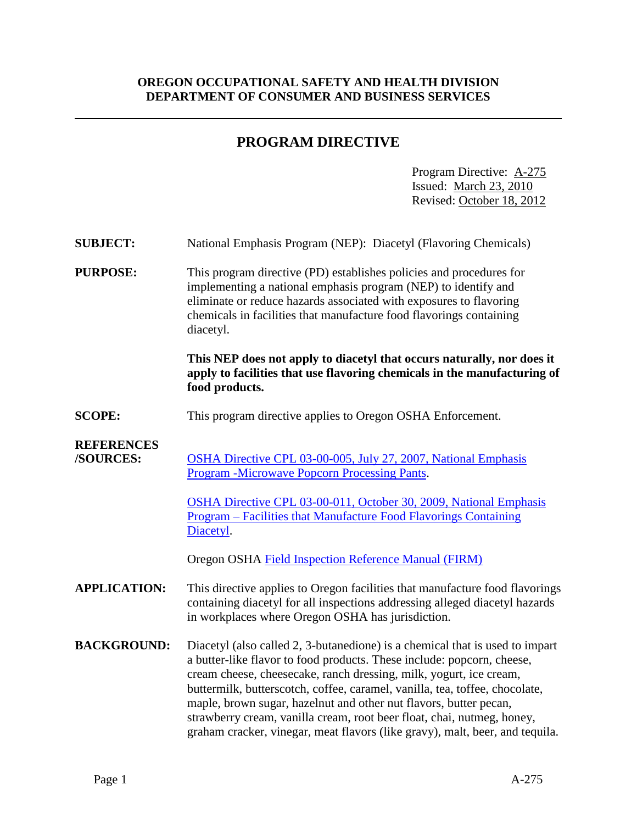# **OREGON OCCUPATIONAL SAFETY AND HEALTH DIVISION DEPARTMENT OF CONSUMER AND BUSINESS SERVICES**

# **PROGRAM DIRECTIVE**

Program Directive: A-275 Issued: March 23, 2010 Revised: October 18, 2012

| <b>SUBJECT:</b>                | National Emphasis Program (NEP): Diacetyl (Flavoring Chemicals)                                                                                                                                                                                                                                                                                                                                                                                                                                                                            |  |  |  |  |
|--------------------------------|--------------------------------------------------------------------------------------------------------------------------------------------------------------------------------------------------------------------------------------------------------------------------------------------------------------------------------------------------------------------------------------------------------------------------------------------------------------------------------------------------------------------------------------------|--|--|--|--|
| <b>PURPOSE:</b>                | This program directive (PD) establishes policies and procedures for<br>implementing a national emphasis program (NEP) to identify and<br>eliminate or reduce hazards associated with exposures to flavoring<br>chemicals in facilities that manufacture food flavorings containing<br>diacetyl.                                                                                                                                                                                                                                            |  |  |  |  |
|                                | This NEP does not apply to diacetyl that occurs naturally, nor does it<br>apply to facilities that use flavoring chemicals in the manufacturing of<br>food products.                                                                                                                                                                                                                                                                                                                                                                       |  |  |  |  |
| <b>SCOPE:</b>                  | This program directive applies to Oregon OSHA Enforcement.                                                                                                                                                                                                                                                                                                                                                                                                                                                                                 |  |  |  |  |
| <b>REFERENCES</b><br>/SOURCES: | OSHA Directive CPL 03-00-005, July 27, 2007, National Emphasis<br><b>Program -Microwave Popcorn Processing Pants.</b>                                                                                                                                                                                                                                                                                                                                                                                                                      |  |  |  |  |
|                                | OSHA Directive CPL 03-00-011, October 30, 2009, National Emphasis<br><u> Program – Facilities that Manufacture Food Flavorings Containing</u><br>Diacetyl.                                                                                                                                                                                                                                                                                                                                                                                 |  |  |  |  |
|                                | Oregon OSHA Field Inspection Reference Manual (FIRM)                                                                                                                                                                                                                                                                                                                                                                                                                                                                                       |  |  |  |  |
| <b>APPLICATION:</b>            | This directive applies to Oregon facilities that manufacture food flavorings<br>containing diacetyl for all inspections addressing alleged diacetyl hazards<br>in workplaces where Oregon OSHA has jurisdiction.                                                                                                                                                                                                                                                                                                                           |  |  |  |  |
| <b>BACKGROUND:</b>             | Diacetyl (also called 2, 3-butanedione) is a chemical that is used to impart<br>a butter-like flavor to food products. These include: popcorn, cheese,<br>cream cheese, cheesecake, ranch dressing, milk, yogurt, ice cream,<br>buttermilk, butterscotch, coffee, caramel, vanilla, tea, toffee, chocolate,<br>maple, brown sugar, hazelnut and other nut flavors, butter pecan,<br>strawberry cream, vanilla cream, root beer float, chai, nutmeg, honey,<br>graham cracker, vinegar, meat flavors (like gravy), malt, beer, and tequila. |  |  |  |  |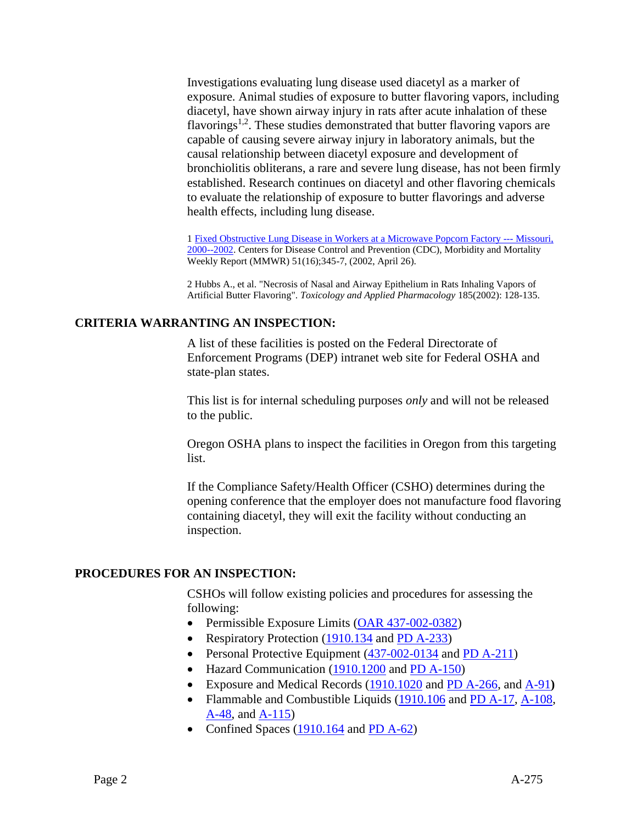Investigations evaluating lung disease used diacetyl as a marker of exposure. Animal studies of exposure to butter flavoring vapors, including diacetyl, have shown airway injury in rats after acute inhalation of these flavorings<sup>1,2</sup>. These studies demonstrated that butter flavoring vapors are capable of causing severe airway injury in laboratory animals, but the causal relationship between diacetyl exposure and development of bronchiolitis obliterans, a rare and severe lung disease, has not been firmly established. Research continues on diacetyl and other flavoring chemicals to evaluate the relationship of exposure to butter flavorings and adverse health effects, including lung disease.

1 [Fixed Obstructive Lung Disease in Workers at a Microwave Popcorn Factory ---](http://www.osha.gov/pls/oshaweb/owaredirect.html?p_url=http://www.cdc.gov/mmwr/preview/mmwrhtml/mm5116a2.htm) Missouri, [2000--2002.](http://www.osha.gov/pls/oshaweb/owaredirect.html?p_url=http://www.cdc.gov/mmwr/preview/mmwrhtml/mm5116a2.htm) Centers for Disease Control and Prevention (CDC), Morbidity and Mortality Weekly Report (MMWR) 51(16);345-7, (2002, April 26).

2 Hubbs A., et al. "Necrosis of Nasal and Airway Epithelium in Rats Inhaling Vapors of Artificial Butter Flavoring". *Toxicology and Applied Pharmacology* 185(2002): 128-135.

# **CRITERIA WARRANTING AN INSPECTION:**

A list of these facilities is posted on the Federal Directorate of Enforcement Programs (DEP) intranet web site for Federal OSHA and state-plan states.

This list is for internal scheduling purposes *only* and will not be released to the public.

Oregon OSHA plans to inspect the facilities in Oregon from this targeting list.

If the Compliance Safety/Health Officer (CSHO) determines during the opening conference that the employer does not manufacture food flavoring containing diacetyl, they will exit the facility without conducting an inspection.

### **PROCEDURES FOR AN INSPECTION:**

CSHOs will follow existing policies and procedures for assessing the following:

- Permissible Exposure Limits [\(OAR 437-002-0382\)](https://osha.oregon.gov/OSHARules/div2/div2Z-437-002-0382-air-cont.pdf)
- Respiratory Protection [\(1910.134](https://osha.oregon.gov/OSHARules/div2/div2I.pdf#1910-134) and [PD A-233\)](https://osha.oregon.gov/OSHARules/pd/pd-233.pdf)
- Personal Protective Equipment  $(437-002-0134$  and [PD A-211\)](https://osha.oregon.gov/OSHARules/pd/pd-211.pdf)
- Hazard Communication [\(1910.1200](https://osha.oregon.gov/OSHARules/div2/div2Z-1200-haz-com.pdf#0377) and [PD A-150\)](https://osha.oregon.gov/OSHARules/pd/pd-150.pdf)
- Exposure and Medical Records [\(1910.1020](https://osha.oregon.gov/OSHARules/div2/div2Z-1020-emp-expo-med-rec.pdf) and [PD A-266,](https://osha.oregon.gov/OSHARules/pd/pd-266.pdf) and [A-91](https://osha.oregon.gov/OSHARules/pd/pd-091.pdf)**)**
- Flammable and Combustible Liquids [\(1910.106](https://osha.oregon.gov/OSHARules/div2/div2H.pdf#page=41) and [PD A-17,](https://osha.oregon.gov/OSHARules/pd/pd-017.pdf) [A-108,](https://osha.oregon.gov/OSHARules/pd/pd-108.pdf) [A-48,](https://osha.oregon.gov/OSHARules/pd/pd-048.pdf) and [A-115\)](https://osha.oregon.gov/OSHARules/pd/pd-115.pdf)
- Confined Spaces  $(1910.164$  and [PD A-62\)](https://osha.oregon.gov/OSHARules/pd/pd-062.pdf)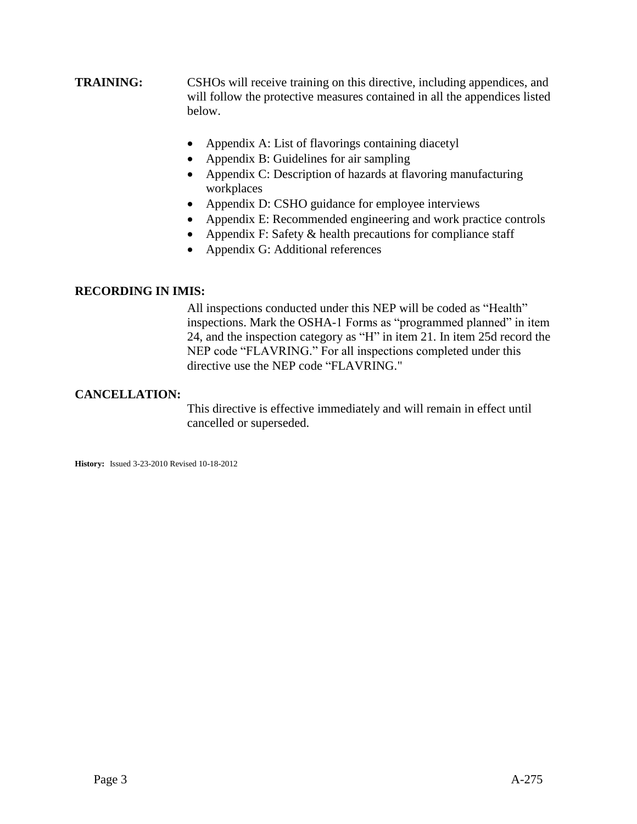- **TRAINING:** CSHOs will receive training on this directive, including appendices, and will follow the protective measures contained in all the appendices listed below.
	- Appendix A: List of flavorings containing diacetyl
	- Appendix B: Guidelines for air sampling
	- Appendix C: Description of hazards at flavoring manufacturing workplaces
	- Appendix D: CSHO guidance for employee interviews
	- Appendix E: Recommended engineering and work practice controls
	- Appendix F: Safety  $&$  health precautions for compliance staff
	- Appendix G: Additional references

### **RECORDING IN IMIS:**

All inspections conducted under this NEP will be coded as "Health" inspections. Mark the OSHA-1 Forms as "programmed planned" in item 24, and the inspection category as "H" in item 21. In item 25d record the NEP code "FLAVRING." For all inspections completed under this directive use the NEP code "FLAVRING."

# **CANCELLATION:**

This directive is effective immediately and will remain in effect until cancelled or superseded.

**History:** Issued 3-23-2010 Revised 10-18-2012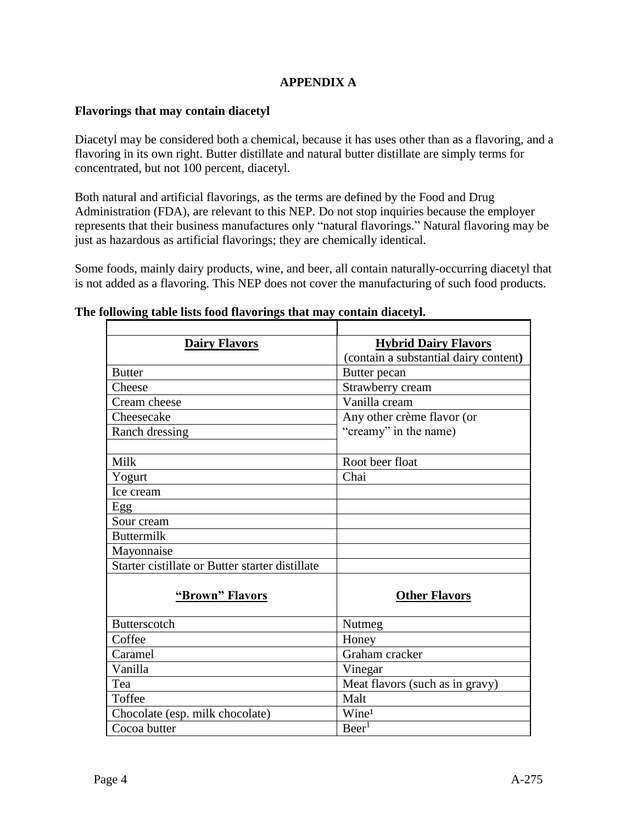# **APPENDIX A**

### **Flavorings that may contain diacetyl**

Diacetyl may be considered both a chemical, because it has uses other than as a flavoring, and a flavoring in its own right. Butter distillate and natural butter distillate are simply terms for concentrated, but not 100 percent, diacetyl.

Both natural and artificial flavorings, as the terms are defined by the Food and Drug Administration (FDA), are relevant to this NEP. Do not stop inquiries because the employer represents that their business manufactures only "natural flavorings." Natural flavoring may be just as hazardous as artificial flavorings; they are chemically identical.

Some foods, mainly dairy products, wine, and beer, all contain naturally-occurring diacetyl that is not added as a flavoring. This NEP does not cover the manufacturing of such food products.

| <b>Dairy Flavors</b>                            | <b>Hybrid Dairy Flavors</b><br>(contain a substantial dairy content) |  |  |  |  |
|-------------------------------------------------|----------------------------------------------------------------------|--|--|--|--|
| <b>Butter</b>                                   | Butter pecan                                                         |  |  |  |  |
| Cheese                                          | Strawberry cream                                                     |  |  |  |  |
| Cream cheese                                    | Vanilla cream                                                        |  |  |  |  |
| Cheesecake                                      | Any other crème flavor (or                                           |  |  |  |  |
| Ranch dressing                                  | "creamy" in the name)                                                |  |  |  |  |
| Milk                                            | Root beer float                                                      |  |  |  |  |
| Yogurt                                          | Chai                                                                 |  |  |  |  |
| Ice cream                                       |                                                                      |  |  |  |  |
| Egg                                             |                                                                      |  |  |  |  |
| Sour cream                                      |                                                                      |  |  |  |  |
| <b>Buttermilk</b>                               |                                                                      |  |  |  |  |
| Mayonnaise                                      |                                                                      |  |  |  |  |
| Starter cistillate or Butter starter distillate |                                                                      |  |  |  |  |
| "Brown" Flavors                                 | <b>Other Flavors</b>                                                 |  |  |  |  |
| <b>Butterscotch</b>                             | Nutmeg                                                               |  |  |  |  |
| Coffee                                          | Honey                                                                |  |  |  |  |
| Caramel                                         | Graham cracker                                                       |  |  |  |  |
| Vanilla                                         | Vinegar                                                              |  |  |  |  |
| Tea                                             | Meat flavors (such as in gravy)                                      |  |  |  |  |
| Toffee                                          | Malt                                                                 |  |  |  |  |
| Chocolate (esp. milk chocolate)                 | Wine <sup>1</sup>                                                    |  |  |  |  |
| Cocoa butter                                    | Beer <sup>1</sup>                                                    |  |  |  |  |

### **The following table lists food flavorings that may contain diacetyl.**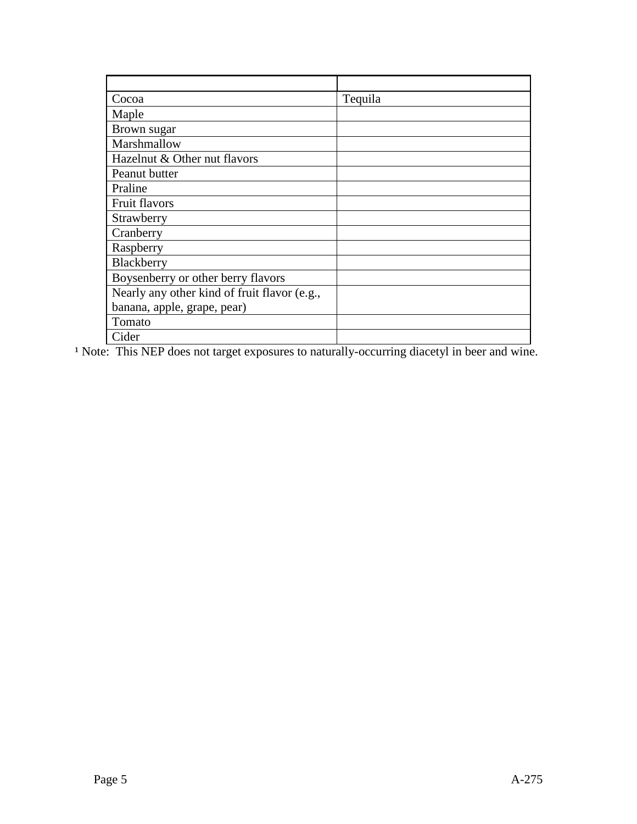| Cocoa                                        | Tequila |
|----------------------------------------------|---------|
| Maple                                        |         |
| Brown sugar                                  |         |
| Marshmallow                                  |         |
| Hazelnut & Other nut flavors                 |         |
| Peanut butter                                |         |
| Praline                                      |         |
| Fruit flavors                                |         |
| Strawberry                                   |         |
| Cranberry                                    |         |
| Raspberry                                    |         |
| Blackberry                                   |         |
| Boysenberry or other berry flavors           |         |
| Nearly any other kind of fruit flavor (e.g., |         |
| banana, apple, grape, pear)                  |         |
| Tomato                                       |         |
| Cider                                        |         |

<sup>1</sup> Note: This NEP does not target exposures to naturally-occurring diacetyl in beer and wine.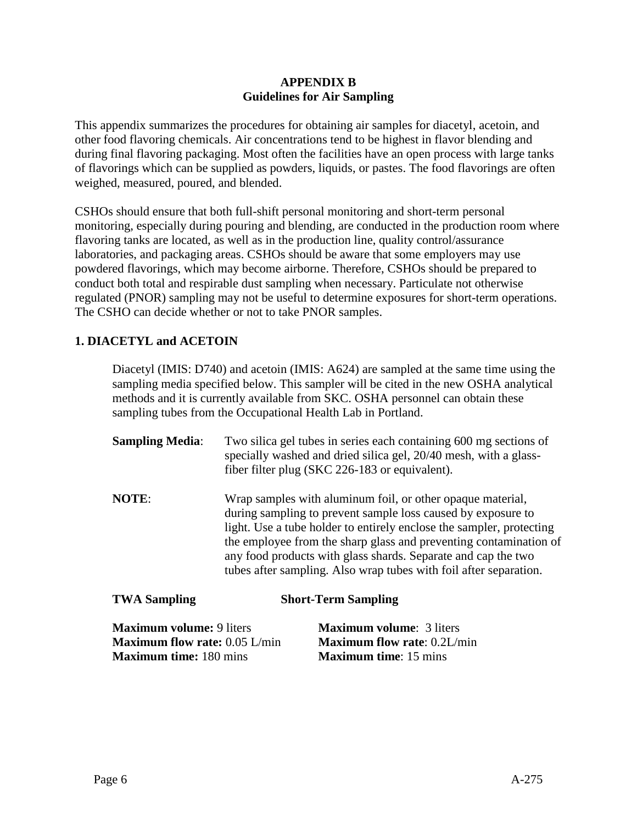### **APPENDIX B Guidelines for Air Sampling**

This appendix summarizes the procedures for obtaining air samples for diacetyl, acetoin, and other food flavoring chemicals. Air concentrations tend to be highest in flavor blending and during final flavoring packaging. Most often the facilities have an open process with large tanks of flavorings which can be supplied as powders, liquids, or pastes. The food flavorings are often weighed, measured, poured, and blended.

CSHOs should ensure that both full-shift personal monitoring and short-term personal monitoring, especially during pouring and blending, are conducted in the production room where flavoring tanks are located, as well as in the production line, quality control/assurance laboratories, and packaging areas. CSHOs should be aware that some employers may use powdered flavorings, which may become airborne. Therefore, CSHOs should be prepared to conduct both total and respirable dust sampling when necessary. Particulate not otherwise regulated (PNOR) sampling may not be useful to determine exposures for short-term operations. The CSHO can decide whether or not to take PNOR samples.

# **1. DIACETYL and ACETOIN**

Diacetyl (IMIS: D740) and acetoin (IMIS: A624) are sampled at the same time using the sampling media specified below. This sampler will be cited in the new OSHA analytical methods and it is currently available from SKC. OSHA personnel can obtain these sampling tubes from the Occupational Health Lab in Portland.

| <b>Sampling Media:</b> | Two silica gel tubes in series each containing 600 mg sections of<br>specially washed and dried silica gel, 20/40 mesh, with a glass-<br>fiber filter plug (SKC 226-183 or equivalent).                                                                                                                                                                                                                       |
|------------------------|---------------------------------------------------------------------------------------------------------------------------------------------------------------------------------------------------------------------------------------------------------------------------------------------------------------------------------------------------------------------------------------------------------------|
| <b>NOTE:</b>           | Wrap samples with aluminum foil, or other opaque material,<br>during sampling to prevent sample loss caused by exposure to<br>light. Use a tube holder to entirely enclose the sampler, protecting<br>the employee from the sharp glass and preventing contamination of<br>any food products with glass shards. Separate and cap the two<br>tubes after sampling. Also wrap tubes with foil after separation. |
| <b>TWA Sampling</b>    | <b>Short-Term Sampling</b>                                                                                                                                                                                                                                                                                                                                                                                    |

| <b>Maximum volume:</b> 9 liters        | <b>Maximum volume:</b> 3 liters      |
|----------------------------------------|--------------------------------------|
| <b>Maximum flow rate:</b> $0.05$ L/min | <b>Maximum flow rate:</b> $0.2L/min$ |
| <b>Maximum time:</b> 180 mins          | <b>Maximum time:</b> 15 mins         |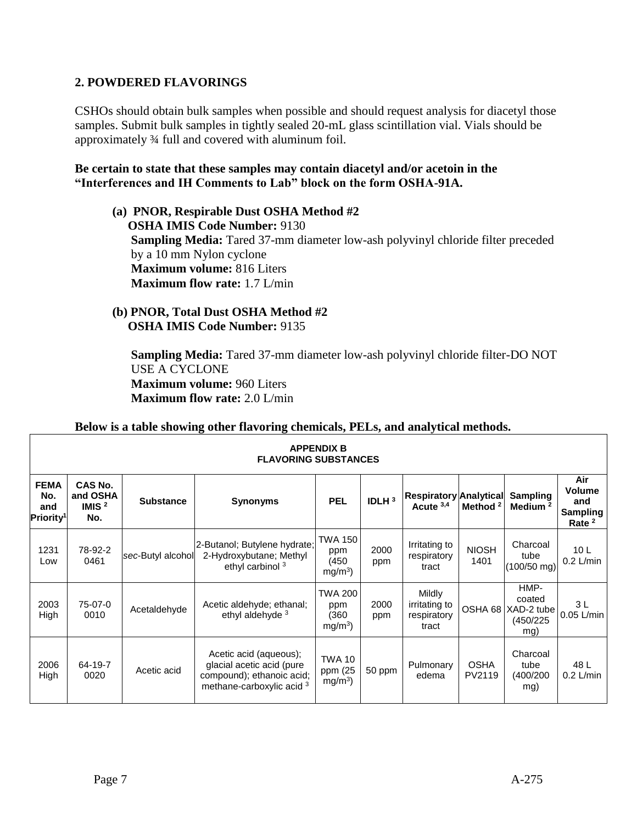# **2. POWDERED FLAVORINGS**

CSHOs should obtain bulk samples when possible and should request analysis for diacetyl those samples. Submit bulk samples in tightly sealed 20-mL glass scintillation vial. Vials should be approximately ¾ full and covered with aluminum foil.

# **Be certain to state that these samples may contain diacetyl and/or acetoin in the "Interferences and IH Comments to Lab" block on the form OSHA-91A.**

- **(a) PNOR, Respirable Dust OSHA Method #2 OSHA IMIS Code Number:** 9130 **Sampling Media:** Tared 37-mm diameter low-ash polyvinyl chloride filter preceded by a 10 mm Nylon cyclone **Maximum volume:** 816 Liters **Maximum flow rate:** 1.7 L/min
- **(b) PNOR, Total Dust OSHA Method #2 OSHA IMIS Code Number:** 9135

**Sampling Media:** Tared 37-mm diameter low-ash polyvinyl chloride filter-DO NOT USE A CYCLONE **Maximum volume:** 960 Liters **Maximum flow rate:** 2.0 L/min

|                                                    | Below is a table showing other flavoring chemicals, PELs, and analytical methods. |                   |                                                                                                               |                                              |                   |                                                        |                       |                                                  |                                                     |  |
|----------------------------------------------------|-----------------------------------------------------------------------------------|-------------------|---------------------------------------------------------------------------------------------------------------|----------------------------------------------|-------------------|--------------------------------------------------------|-----------------------|--------------------------------------------------|-----------------------------------------------------|--|
|                                                    | <b>APPENDIX B</b><br><b>FLAVORING SUBSTANCES</b>                                  |                   |                                                                                                               |                                              |                   |                                                        |                       |                                                  |                                                     |  |
| <b>FEMA</b><br>No.<br>and<br>Priority <sup>1</sup> | <b>CAS No.</b><br>and OSHA<br>IMIS $2$<br>No.                                     | <b>Substance</b>  | <b>Synonyms</b>                                                                                               | <b>PEL</b>                                   | IDLH <sup>3</sup> | Respiratory Analytical<br>Acute 3,4                    | Method <sup>2</sup>   | <b>Sampling</b><br>Medium $2$                    | Air<br>Volume<br>and<br><b>Sampling</b><br>Rate $2$ |  |
| 1231<br>Low                                        | 78-92-2<br>0461                                                                   | sec-Butyl alcohol | 2-Butanol; Butylene hydrate;<br>2-Hydroxybutane; Methyl<br>ethyl carbinol <sup>3</sup>                        | TWA 150<br>ppm<br>(450)<br>mg/m <sup>3</sup> | 2000<br>ppm       | Irritating to<br>respiratory<br>tract                  | <b>NIOSH</b><br>1401  | Charcoal<br>tube<br>$(100/50$ mg)                | 10 <sub>L</sub><br>$0.2$ L/min                      |  |
| 2003<br>High                                       | 75-07-0<br>0010                                                                   | Acetaldehyde      | Acetic aldehyde; ethanal;<br>ethyl aldehyde <sup>3</sup>                                                      | TWA 200<br>ppm<br>(360<br>mg/m <sup>3</sup>  | 2000<br>ppm       | Mildly<br><i>irritating to</i><br>respiratory<br>tract | OSHA 68               | HMP-<br>coated<br>XAD-2 tube<br>(450/225)<br>mg) | 3L<br>$0.05$ L/min                                  |  |
| 2006<br>High                                       | 64-19-7<br>0020                                                                   | Acetic acid       | Acetic acid (aqueous);<br>glacial acetic acid (pure<br>compound); ethanoic acid;<br>methane-carboxylic acid 3 | <b>TWA 10</b><br>ppm (25<br>$mg/m3$ )        | 50 ppm            | Pulmonary<br>edema                                     | <b>OSHA</b><br>PV2119 | Charcoal<br>tube<br>(400/200<br>mg)              | 48 L<br>$0.2$ L/min                                 |  |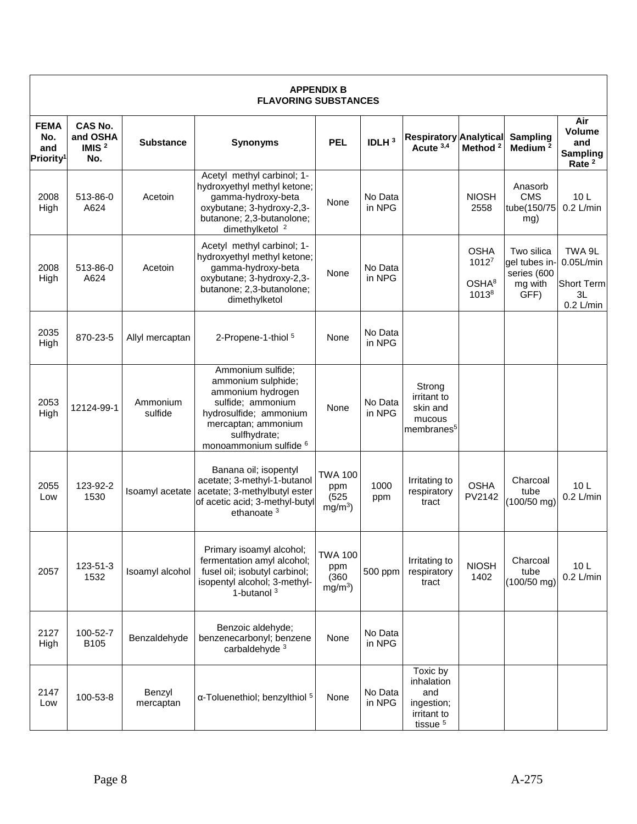|                                                    |                                               |                     | <b>FLAVORING SUBSTANCES</b>                                                                                                                                                             | <b>APPENDIX B</b>                           |                   |                                                                                   |                                                                   |                                                               |                                                                  |
|----------------------------------------------------|-----------------------------------------------|---------------------|-----------------------------------------------------------------------------------------------------------------------------------------------------------------------------------------|---------------------------------------------|-------------------|-----------------------------------------------------------------------------------|-------------------------------------------------------------------|---------------------------------------------------------------|------------------------------------------------------------------|
| <b>FEMA</b><br>No.<br>and<br>Priority <sup>1</sup> | <b>CAS No.</b><br>and OSHA<br>IMIS $2$<br>No. | <b>Substance</b>    | <b>Synonyms</b>                                                                                                                                                                         | <b>PEL</b>                                  | IDLH <sup>3</sup> | <b>Respiratory Analytical</b><br>Acute 3,4                                        | Method <sup>2</sup>                                               | Sampling<br>Medium <sup>2</sup>                               | Air<br>Volume<br>and<br><b>Sampling</b><br>Rate <sup>2</sup>     |
| 2008<br>High                                       | 513-86-0<br>A624                              | Acetoin             | Acetyl methyl carbinol; 1-<br>hydroxyethyl methyl ketone;<br>gamma-hydroxy-beta<br>oxybutane; 3-hydroxy-2,3-<br>butanone; 2,3-butanolone;<br>dimethylketol <sup>2</sup>                 | None                                        | No Data<br>in NPG |                                                                                   | <b>NIOSH</b><br>2558                                              | Anasorb<br><b>CMS</b><br>tube(150/75<br>mg)                   | 10 <sub>L</sub><br>$0.2$ L/min                                   |
| 2008<br>High                                       | 513-86-0<br>A624                              | Acetoin             | Acetyl methyl carbinol; 1-<br>hydroxyethyl methyl ketone;<br>gamma-hydroxy-beta<br>oxybutane; 3-hydroxy-2,3-<br>butanone; 2,3-butanolone;<br>dimethylketol                              | None                                        | No Data<br>in NPG |                                                                                   | <b>OSHA</b><br>1012 <sup>7</sup><br>OSHA <sup>8</sup><br>$1013^8$ | Two silica<br>gel tubes in-<br>series (600<br>mg with<br>GFF) | TWA 9L<br>$0.05$ L/min<br><b>Short Term</b><br>3L<br>$0.2$ L/min |
| 2035<br>High                                       | 870-23-5                                      | Allyl mercaptan     | 2-Propene-1-thiol <sup>5</sup>                                                                                                                                                          | None                                        | No Data<br>in NPG |                                                                                   |                                                                   |                                                               |                                                                  |
| 2053<br>High                                       | 12124-99-1                                    | Ammonium<br>sulfide | Ammonium sulfide;<br>ammonium sulphide;<br>ammonium hydrogen<br>sulfide; ammonium<br>hydrosulfide; ammonium<br>mercaptan; ammonium<br>sulfhydrate;<br>monoammonium sulfide <sup>6</sup> | None                                        | No Data<br>in NPG | Strong<br>irritant to<br>skin and<br>mucous<br>membranes <sup>5</sup>             |                                                                   |                                                               |                                                                  |
| 2055<br>Low                                        | 123-92-2<br>1530                              | Isoamyl acetate     | Banana oil; isopentyl<br>acetate; 3-methyl-1-butanol<br>acetate; 3-methylbutyl ester<br>of acetic acid; 3-methyl-butyl<br>ethanoate $3$                                                 | <b>TWA 100</b><br>ppm<br>(525)<br>$mg/m3$ ) | 1000<br>ppm       | Irritating to<br>respiratory<br>tract                                             | <b>OSHA</b><br>PV2142                                             | Charcoal<br>tube<br>(100/50 mg)                               | 10 <sub>L</sub><br>$0.2$ L/min                                   |
| 2057                                               | 123-51-3<br>1532                              | Isoamyl alcohol     | Primary isoamyl alcohol;<br>fermentation amyl alcohol;<br>fusel oil; isobutyl carbinol;<br>isopentyl alcohol; 3-methyl-<br>1-butanol $3$                                                | TWA 100<br>ppm<br>(360)<br>$mg/m^3$ )       | 500 ppm           | Irritating to<br>respiratory<br>tract                                             | <b>NIOSH</b><br>1402                                              | Charcoal<br>tube<br>$(100/50$ mg)                             | 10 <sub>L</sub><br>$0.2$ L/min                                   |
| 2127<br>High                                       | 100-52-7<br>B <sub>105</sub>                  | Benzaldehyde        | Benzoic aldehyde;<br>benzenecarbonyl; benzene<br>carbaldehyde <sup>3</sup>                                                                                                              | None                                        | No Data<br>in NPG |                                                                                   |                                                                   |                                                               |                                                                  |
| 2147<br>Low                                        | 100-53-8                                      | Benzyl<br>mercaptan | α-Toluenethiol; benzylthiol 5                                                                                                                                                           | None                                        | No Data<br>in NPG | Toxic by<br>inhalation<br>and<br>ingestion;<br>irritant to<br>tissue <sup>5</sup> |                                                                   |                                                               |                                                                  |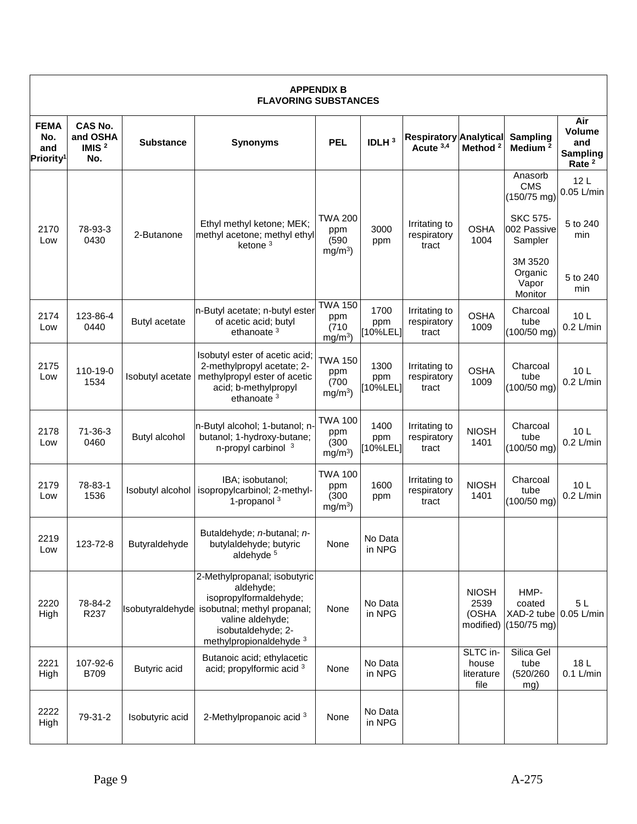|                                                    | <b>APPENDIX B</b><br><b>FLAVORING SUBSTANCES</b> |                         |                                                                                                                                                                         |                                             |                         |                                            |                                            |                                               |                                                                     |  |
|----------------------------------------------------|--------------------------------------------------|-------------------------|-------------------------------------------------------------------------------------------------------------------------------------------------------------------------|---------------------------------------------|-------------------------|--------------------------------------------|--------------------------------------------|-----------------------------------------------|---------------------------------------------------------------------|--|
| <b>FEMA</b><br>No.<br>and<br>Priority <sup>1</sup> | <b>CAS No.</b><br>and OSHA<br>IMIS $2$<br>No.    | <b>Substance</b>        | <b>Synonyms</b>                                                                                                                                                         | <b>PEL</b>                                  | IDLH <sup>3</sup>       | <b>Respiratory Analytical</b><br>Acute 3,4 | Method <sup>2</sup>                        | Sampling<br>Medium <sup>2</sup>               | Air<br><b>Volume</b><br>and<br><b>Sampling</b><br>Rate <sup>2</sup> |  |
|                                                    |                                                  |                         |                                                                                                                                                                         |                                             |                         |                                            |                                            | Anasorb<br><b>CMS</b><br>$(150/75$ mg)        | 12 <sub>L</sub><br>0.05 L/min                                       |  |
| 2170<br>Low                                        | 78-93-3<br>0430                                  | 2-Butanone              | Ethyl methyl ketone; MEK;<br>methyl acetone; methyl ethyl<br>ketone $3$                                                                                                 | TWA 200<br>ppm<br>(590)<br>$mg/m3$ )        | 3000<br>ppm             | Irritating to<br>respiratory<br>tract      | <b>OSHA</b><br>1004                        | <b>SKC 575-</b><br>002 Passive<br>Sampler     | 5 to 240<br>min                                                     |  |
|                                                    |                                                  |                         |                                                                                                                                                                         |                                             |                         |                                            |                                            | 3M 3520<br>Organic<br>Vapor<br>Monitor        | 5 to 240<br>min                                                     |  |
| 2174<br>Low                                        | 123-86-4<br>0440                                 | Butyl acetate           | n-Butyl acetate; n-butyl ester<br>of acetic acid; butyl<br>ethanoate <sup>3</sup>                                                                                       | <b>TWA 150</b><br>ppm<br>(710)<br>$mg/m3$ ) | 1700<br>ppm<br>[10%LEL] | Irritating to<br>respiratory<br>tract      | <b>OSHA</b><br>1009                        | Charcoal<br>tube<br>(100/50 mg)               | 10L<br>$0.2$ L/min                                                  |  |
| 2175<br>Low                                        | 110-19-0<br>1534                                 | Isobutyl acetate        | Isobutyl ester of acetic acid;<br>2-methylpropyl acetate; 2-<br>methylpropyl ester of acetic<br>acid; b-methylpropyl<br>ethanoate <sup>3</sup>                          | <b>TWA 150</b><br>ppm<br>(700)<br>$mg/m3$ ) | 1300<br>ppm<br>[10%LEL] | Irritating to<br>respiratory<br>tract      | <b>OSHA</b><br>1009                        | Charcoal<br>tube<br>$(100/50$ mg)             | 10 <sub>L</sub><br>$0.2$ L/min                                      |  |
| 2178<br>Low                                        | $71 - 36 - 3$<br>0460                            | Butyl alcohol           | n-Butyl alcohol; 1-butanol; n-<br>butanol; 1-hydroxy-butane;<br>n-propyl carbinol 3                                                                                     | <b>TWA 100</b><br>ppm<br>(300)<br>$mg/m3$ ) | 1400<br>ppm<br>[10%LEL] | Irritating to<br>respiratory<br>tract      | <b>NIOSH</b><br>1401                       | Charcoal<br>tube<br>$(100/50$ mg)             | 10L<br>$0.2$ L/min                                                  |  |
| 2179<br>Low                                        | 78-83-1<br>1536                                  | <b>Isobutyl alcohol</b> | IBA; isobutanol;<br>isopropylcarbinol; 2-methyl-<br>1-propanol $3$                                                                                                      | <b>TWA 100</b><br>ppm<br>(300)<br>$mg/m3$ ) | 1600<br>ppm             | Irritating to<br>respiratory<br>tract      | <b>NIOSH</b><br>1401                       | Charcoal<br>tube<br>$(100/50$ mg)             | 10L<br>$0.2$ L/min                                                  |  |
| 2219<br>Low                                        | 123-72-8                                         | Butyraldehyde           | Butaldehyde; <i>n</i> -butanal; <i>n</i> -<br>butylaldehyde; butyric<br>aldehyde <sup>5</sup>                                                                           | None                                        | No Data<br>in NPG       |                                            |                                            |                                               |                                                                     |  |
| 2220<br>High                                       | 78-84-2<br>R237                                  | Isobutyraldehyde        | 2-Methylpropanal; isobutyric<br>aldehyde;<br>isopropylformaldehyde;<br>isobutnal; methyl propanal;<br>valine aldehyde;<br>isobutaldehyde; 2-<br>methylpropionaldehyde 3 | None                                        | No Data<br>in NPG       |                                            | <b>NIOSH</b><br>2539<br>(OSHA<br>modified) | HMP-<br>coated<br>XAD-2 tube<br>$(150/75$ mg) | 5L<br>$0.05$ L/min                                                  |  |
| 2221<br>High                                       | 107-92-6<br>B709                                 | Butyric acid            | Butanoic acid; ethylacetic<br>acid; propylformic acid 3                                                                                                                 | None                                        | No Data<br>in NPG       |                                            | SLTC in-<br>house<br>literature<br>file    | Silica Gel<br>tube<br>(520/260<br>mg)         | 18L<br>$0.1$ L/min                                                  |  |
| 2222<br>High                                       | 79-31-2                                          | Isobutyric acid         | 2-Methylpropanoic acid 3                                                                                                                                                | None                                        | No Data<br>in NPG       |                                            |                                            |                                               |                                                                     |  |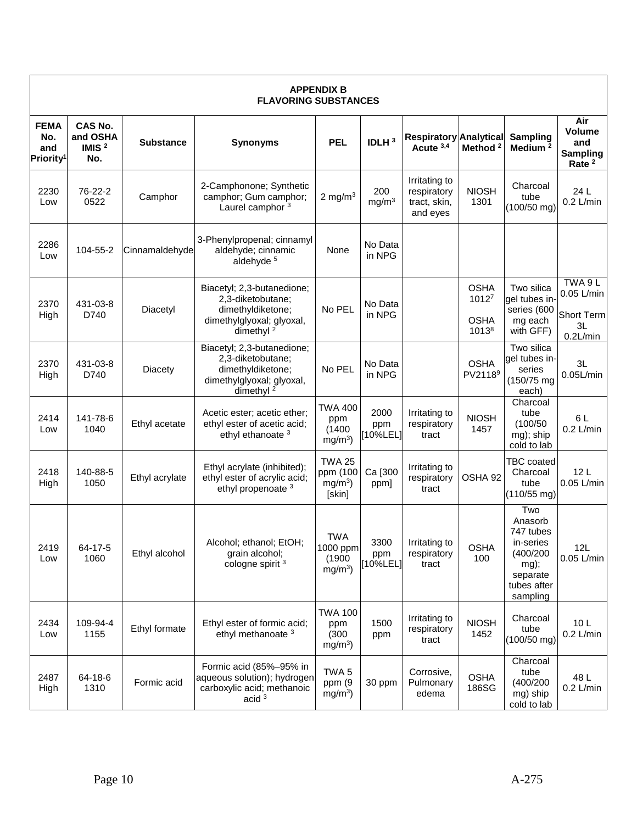|                                                    | <b>APPENDIX B</b><br><b>FLAVORING SUBSTANCES</b> |                  |                                                                                                                            |                                                     |                          |                                                          |                                              |                                                                                                      |                                                                 |  |  |
|----------------------------------------------------|--------------------------------------------------|------------------|----------------------------------------------------------------------------------------------------------------------------|-----------------------------------------------------|--------------------------|----------------------------------------------------------|----------------------------------------------|------------------------------------------------------------------------------------------------------|-----------------------------------------------------------------|--|--|
| <b>FEMA</b><br>No.<br>and<br>Priority <sup>1</sup> | CAS No.<br>and OSHA<br>IMIS $2$<br>No.           | <b>Substance</b> | <b>Synonyms</b>                                                                                                            | <b>PEL</b>                                          | IDLH <sup>3</sup>        | <b>Respiratory Analytical</b><br>Acute 3,4               | Method <sup>2</sup>                          | Sampling<br>Medium <sup>2</sup>                                                                      | Air<br>Volume<br>and<br><b>Sampling</b><br>Rate <sup>2</sup>    |  |  |
| 2230<br>Low                                        | 76-22-2<br>0522                                  | Camphor          | 2-Camphonone; Synthetic<br>camphor; Gum camphor;<br>Laurel camphor <sup>3</sup>                                            | 2 mg/m $3$                                          | 200<br>mg/m <sup>3</sup> | Irritating to<br>respiratory<br>tract, skin,<br>and eyes | <b>NIOSH</b><br>1301                         | Charcoal<br>tube<br>(100/50 mg)                                                                      | 24 L<br>$0.2$ L/min                                             |  |  |
| 2286<br>Low                                        | 104-55-2                                         | Cinnamaldehyde   | 3-Phenylpropenal; cinnamyl<br>aldehyde; cinnamic<br>aldehyde <sup>5</sup>                                                  | None                                                | No Data<br>in NPG        |                                                          |                                              |                                                                                                      |                                                                 |  |  |
| 2370<br>High                                       | 431-03-8<br>D740                                 | Diacetyl         | Biacetyl; 2,3-butanedione;<br>2,3-diketobutane;<br>dimethyldiketone;<br>dimethylglyoxal; glyoxal,<br>dimethyl <sup>2</sup> | No PEL                                              | No Data<br>in NPG        |                                                          | <b>OSHA</b><br>10127<br><b>OSHA</b><br>10138 | Two silica<br>gel tubes in-<br>series (600<br>mg each<br>with GFF)                                   | TWA 9 L<br>0.05 L/min<br><b>Short Term</b><br>3L<br>$0.2$ L/min |  |  |
| 2370<br>High                                       | 431-03-8<br>D740                                 | <b>Diacety</b>   | Biacetyl; 2,3-butanedione;<br>2,3-diketobutane;<br>dimethyldiketone;<br>dimethylglyoxal; glyoxal,<br>dimethyl <sup>2</sup> | No PEL                                              | No Data<br>in NPG        |                                                          | <b>OSHA</b><br>PV2118 <sup>9</sup>           | Two silica<br>qel tubes in-<br>series<br>$(150/75 \text{ mg})$<br>each)                              | 3L<br>$0.05$ L/min                                              |  |  |
| 2414<br>Low                                        | 141-78-6<br>1040                                 | Ethyl acetate    | Acetic ester; acetic ether;<br>ethyl ester of acetic acid;<br>ethyl ethanoate <sup>3</sup>                                 | <b>TWA 400</b><br>ppm<br>(1400)<br>$mg/m^3$ )       | 2000<br>ppm<br>[10%LEL]  | Irritating to<br>respiratory<br>tract                    | <b>NIOSH</b><br>1457                         | Charcoal<br>tube<br>(100/50)<br>mg); ship<br>cold to lab                                             | 6 L<br>$0.2$ L/min                                              |  |  |
| 2418<br>High                                       | 140-88-5<br>1050                                 | Ethyl acrylate   | Ethyl acrylate (inhibited);<br>ethyl ester of acrylic acid;<br>ethyl propenoate <sup>3</sup>                               | <b>TWA 25</b><br>ppm (100<br>$mg/m3$ )<br>[skin]    | Ca [300<br>ppm]          | Irritating to<br>respiratory<br>tract                    | OSHA 92                                      | <b>TBC</b> coated<br>Charcoal<br>tube<br>(110/55 mg)                                                 | 12L<br>0.05 L/min                                               |  |  |
| 2419<br>Low                                        | 64-17-5<br>1060                                  | Ethyl alcohol    | Alcohol; ethanol; EtOH;<br>grain alcohol;<br>cologne spirit <sup>3</sup>                                                   | <b>TWA</b><br>1000 ppm<br>(1900)<br>$mg/m3$ )       | 3300<br>ppm<br>[10%LEL]  | Irritating to<br>respiratory<br>tract                    | <b>OSHA</b><br>100                           | Two<br>Anasorb<br>747 tubes<br>in-series<br>(400/200)<br>mg);<br>separate<br>tubes after<br>sampling | 12L<br>0.05 L/min                                               |  |  |
| 2434<br>Low                                        | 109-94-4<br>1155                                 | Ethyl formate    | Ethyl ester of formic acid;<br>ethyl methanoate <sup>3</sup>                                                               | <b>TWA 100</b><br>ppm<br>(300)<br>mg/m <sup>3</sup> | 1500<br>ppm              | Irritating to<br>respiratory<br>tract                    | <b>NIOSH</b><br>1452                         | Charcoal<br>tube<br>$(100/50$ mg)                                                                    | 10 <sub>L</sub><br>$0.2$ L/min                                  |  |  |
| 2487<br>High                                       | 64-18-6<br>1310                                  | Formic acid      | Formic acid (85%-95% in<br>aqueous solution); hydrogen<br>carboxylic acid; methanoic<br>acid $3$                           | TWA <sub>5</sub><br>ppm (9<br>$mg/m3$ )             | 30 ppm                   | Corrosive,<br>Pulmonary<br>edema                         | <b>OSHA</b><br>186SG                         | Charcoal<br>tube<br>(400/200<br>mg) ship<br>cold to lab                                              | 48 L<br>$0.2$ L/min                                             |  |  |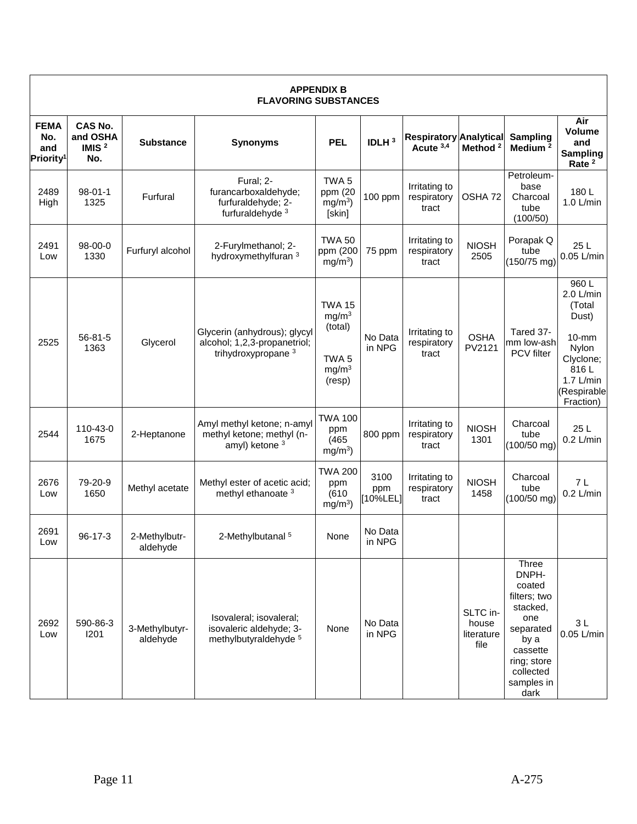|                                                    |                                               |                            | <b>FLAVORING SUBSTANCES</b>                                                                    | <b>APPENDIX B</b>                                                                                |                        |                                            |                                         |                                                                                                                                                |                                                                                                                          |
|----------------------------------------------------|-----------------------------------------------|----------------------------|------------------------------------------------------------------------------------------------|--------------------------------------------------------------------------------------------------|------------------------|--------------------------------------------|-----------------------------------------|------------------------------------------------------------------------------------------------------------------------------------------------|--------------------------------------------------------------------------------------------------------------------------|
| <b>FEMA</b><br>No.<br>and<br>Priority <sup>1</sup> | <b>CAS No.</b><br>and OSHA<br>IMIS $2$<br>No. | <b>Substance</b>           | <b>Synonyms</b>                                                                                | <b>PEL</b>                                                                                       | IDLH <sup>3</sup>      | <b>Respiratory Analytical</b><br>Acute 3,4 | Method <sup>2</sup>                     | Sampling<br>Medium <sup>2</sup>                                                                                                                | Air<br><b>Volume</b><br>and<br><b>Sampling</b><br>Rate <sup>2</sup>                                                      |
| 2489<br>High                                       | $98 - 01 - 1$<br>1325                         | Furfural                   | Fural; 2-<br>furancarboxaldehyde;<br>furfuraldehyde; 2-<br>furfuraldehyde <sup>3</sup>         | TWA <sub>5</sub><br>ppm (20<br>mg/m <sup>3</sup><br>[skin]                                       | 100 ppm                | Irritating to<br>respiratory<br>tract      | OSHA 72                                 | Petroleum-<br>base<br>Charcoal<br>tube<br>(100/50)                                                                                             | 180L<br>$1.0$ L/min                                                                                                      |
| 2491<br>Low                                        | 98-00-0<br>1330                               | Furfuryl alcohol           | 2-Furylmethanol; 2-<br>hydroxymethylfuran 3                                                    | <b>TWA 50</b><br>ppm (200<br>$mg/m3$ )                                                           | 75 ppm                 | Irritating to<br>respiratory<br>tract      | <b>NIOSH</b><br>2505                    | Porapak Q<br>tube<br>(150/75 mg)                                                                                                               | 25 L<br>0.05 L/min                                                                                                       |
| 2525                                               | $56 - 81 - 5$<br>1363                         | Glycerol                   | Glycerin (anhydrous); glycyl<br>alcohol; 1,2,3-propanetriol;<br>trihydroxypropane <sup>3</sup> | <b>TWA 15</b><br>mg/m <sup>3</sup><br>(total)<br>TWA <sub>5</sub><br>mg/m <sup>3</sup><br>(resp) | No Data<br>in NPG      | Irritating to<br>respiratory<br>tract      | <b>OSHA</b><br>PV2121                   | Tared 37-<br>mm low-ash<br>PCV filter                                                                                                          | 960L<br>2.0 L/min<br>(Total<br>Dust)<br>$10-mm$<br>Nylon<br>Clyclone;<br>816L<br>$1.7$ L/min<br>(Respirable<br>Fraction) |
| 2544                                               | 110-43-0<br>1675                              | 2-Heptanone                | Amyl methyl ketone; n-amyl<br>methyl ketone; methyl (n-<br>amyl) ketone <sup>3</sup>           | TWA 100<br>ppm<br>(465)<br>$mg/m3$ )                                                             | 800 ppm                | Irritating to<br>respiratory<br>tract      | <b>NIOSH</b><br>1301                    | Charcoal<br>tube<br>$(100/50$ mg)                                                                                                              | 25L<br>$0.2$ L/min                                                                                                       |
| 2676<br>Low                                        | 79-20-9<br>1650                               | Methyl acetate             | Methyl ester of acetic acid;<br>methyl ethanoate <sup>3</sup>                                  | <b>TWA 200</b><br>ppm<br>(610)<br>$mg/m3$ )                                                      | 3100<br>ppm<br>10%LEL] | Irritating to<br>respiratory<br>tract      | <b>NIOSH</b><br>1458                    | Charcoal<br>tube<br>$(100/50$ mg)                                                                                                              | 7L<br>$0.2$ L/min                                                                                                        |
| 2691<br>Low                                        | 96-17-3                                       | 2-Methylbutr-<br>aldehyde  | 2-Methylbutanal <sup>5</sup>                                                                   | None                                                                                             | No Data<br>in NPG      |                                            |                                         |                                                                                                                                                |                                                                                                                          |
| 2692<br>Low                                        | 590-86-3<br>1201                              | 3-Methylbutyr-<br>aldehyde | Isovaleral; isovaleral;<br>isovaleric aldehyde; 3-<br>methylbutyraldehyde 5                    | None                                                                                             | No Data<br>in NPG      |                                            | SLTC in-<br>house<br>literature<br>file | Three<br>DNPH-<br>coated<br>filters; two<br>stacked,<br>one<br>separated<br>by a<br>cassette<br>ring; store<br>collected<br>samples in<br>dark | 3L<br>0.05 L/min                                                                                                         |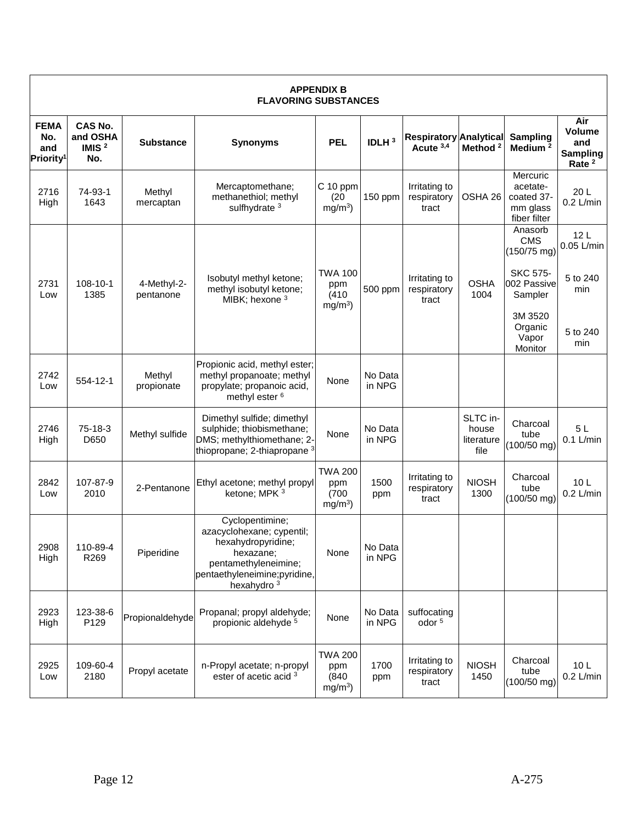|                                                    | <b>APPENDIX B</b><br><b>FLAVORING SUBSTANCES</b> |                          |                                                                                                                                                                   |                                             |                   |                                            |                                         |                                                                |                                                                     |  |
|----------------------------------------------------|--------------------------------------------------|--------------------------|-------------------------------------------------------------------------------------------------------------------------------------------------------------------|---------------------------------------------|-------------------|--------------------------------------------|-----------------------------------------|----------------------------------------------------------------|---------------------------------------------------------------------|--|
| <b>FEMA</b><br>No.<br>and<br>Priority <sup>1</sup> | CAS No.<br>and OSHA<br>IMIS $2$<br>No.           | <b>Substance</b>         | <b>Synonyms</b>                                                                                                                                                   | <b>PEL</b>                                  | IDLH <sup>3</sup> | <b>Respiratory Analytical</b><br>Acute 3,4 | Method <sup>2</sup>                     | Sampling<br>Medium <sup>2</sup>                                | Air<br><b>Volume</b><br>and<br><b>Sampling</b><br>Rate <sup>2</sup> |  |
| 2716<br>High                                       | 74-93-1<br>1643                                  | Methyl<br>mercaptan      | Mercaptomethane;<br>methanethiol; methyl<br>sulfhydrate <sup>3</sup>                                                                                              | $C$ 10 ppm<br>(20)<br>$mg/m3$ )             | 150 ppm           | Irritating to<br>respiratory<br>tract      | OSHA 26                                 | Mercuric<br>acetate-<br>coated 37-<br>mm glass<br>fiber filter | 20L<br>$0.2$ L/min                                                  |  |
|                                                    |                                                  |                          | Isobutyl methyl ketone;                                                                                                                                           | <b>TWA 100</b>                              |                   | Irritating to                              |                                         | Anasorb<br><b>CMS</b><br>$(150/75$ mg)<br><b>SKC 575-</b>      | 12L<br>0.05 L/min<br>5 to 240                                       |  |
| 2731<br>Low                                        | 108-10-1<br>1385                                 | 4-Methyl-2-<br>pentanone | methyl isobutyl ketone;<br>MIBK; hexone 3                                                                                                                         | ppm<br>(410)<br>$mg/m3$ )                   | 500 ppm           | respiratory<br>tract                       | <b>OSHA</b><br>1004                     | 002 Passive<br>Sampler                                         | min                                                                 |  |
|                                                    |                                                  |                          |                                                                                                                                                                   |                                             |                   |                                            |                                         | 3M 3520<br>Organic<br>Vapor<br>Monitor                         | 5 to 240<br>min                                                     |  |
| 2742<br>Low                                        | 554-12-1                                         | Methyl<br>propionate     | Propionic acid, methyl ester;<br>methyl propanoate; methyl<br>propylate; propanoic acid,<br>methyl ester <sup>6</sup>                                             | None                                        | No Data<br>in NPG |                                            |                                         |                                                                |                                                                     |  |
| 2746<br>High                                       | 75-18-3<br>D650                                  | Methyl sulfide           | Dimethyl sulfide; dimethyl<br>sulphide; thiobismethane;<br>DMS; methylthiomethane; 2-<br>thiopropane; 2-thiapropane <sup>3</sup>                                  | None                                        | No Data<br>in NPG |                                            | SLTC in-<br>house<br>literature<br>file | Charcoal<br>tube<br>$(100/50$ mg)                              | 5L<br>$0.1$ L/min                                                   |  |
| 2842<br>Low                                        | 107-87-9<br>2010                                 | 2-Pentanone              | Ethyl acetone; methyl propyl<br>ketone; MPK 3                                                                                                                     | <b>TWA 200</b><br>ppm<br>(700)<br>$mg/m3$ ) | 1500<br>ppm       | Irritating to<br>respiratory<br>tract      | <b>NIOSH</b><br>1300                    | Charcoal<br>tube<br>$(100/50$ mg)                              | 10 <sub>L</sub><br>$0.2$ L/min                                      |  |
| 2908<br>High                                       | 110-89-4<br>R269                                 | Piperidine               | Cyclopentimine;<br>azacyclohexane; cypentil;<br>hexahydropyridine;<br>hexazane;<br>pentamethyleneimine;<br>pentaethyleneimine;pyridine,<br>hexahydro <sup>3</sup> | None                                        | No Data<br>in NPG |                                            |                                         |                                                                |                                                                     |  |
| 2923<br>High                                       | 123-38-6<br>P129                                 | Propionaldehyde          | Propanal; propyl aldehyde;<br>propionic aldehyde <sup>5</sup>                                                                                                     | None                                        | No Data<br>in NPG | suffocating<br>odor <sup>5</sup>           |                                         |                                                                |                                                                     |  |
| 2925<br>Low                                        | 109-60-4<br>2180                                 | Propyl acetate           | n-Propyl acetate; n-propyl<br>ester of acetic acid <sup>3</sup>                                                                                                   | <b>TWA 200</b><br>ppm<br>(840)<br>$mg/m3$ ) | 1700<br>ppm       | Irritating to<br>respiratory<br>tract      | <b>NIOSH</b><br>1450                    | Charcoal<br>tube<br>$(100/50$ mg)                              | 10 <sub>L</sub><br>$0.2$ L/min                                      |  |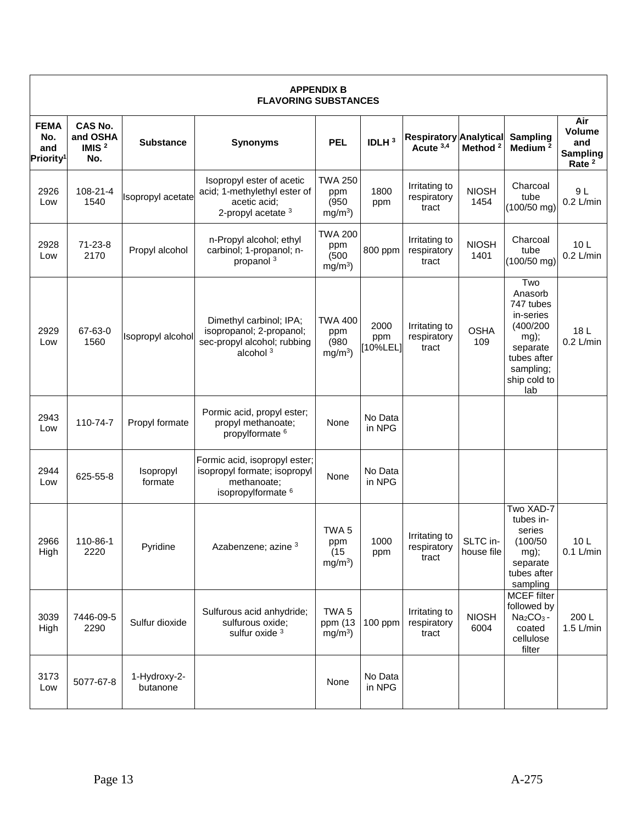|                                                    |                                               |                          | <b>FLAVORING SUBSTANCES</b>                                                                                   | <b>APPENDIX B</b>                            |                        |                                            |                        |                                                                                                                              |                                                              |
|----------------------------------------------------|-----------------------------------------------|--------------------------|---------------------------------------------------------------------------------------------------------------|----------------------------------------------|------------------------|--------------------------------------------|------------------------|------------------------------------------------------------------------------------------------------------------------------|--------------------------------------------------------------|
| <b>FEMA</b><br>No.<br>and<br>Priority <sup>1</sup> | <b>CAS No.</b><br>and OSHA<br>IMIS $2$<br>No. | <b>Substance</b>         | <b>Synonyms</b>                                                                                               | <b>PEL</b>                                   | IDLH <sup>3</sup>      | <b>Respiratory Analytical</b><br>Acute 3,4 | Method <sup>2</sup>    | Sampling<br>Medium <sup>2</sup>                                                                                              | Air<br>Volume<br>and<br><b>Sampling</b><br>Rate <sup>2</sup> |
| 2926<br>Low                                        | 108-21-4<br>1540                              | Isopropyl acetate        | Isopropyl ester of acetic<br>acid; 1-methylethyl ester of<br>acetic acid;<br>2-propyl acetate 3               | <b>TWA 250</b><br>ppm<br>(950)<br>$mg/m3$ )  | 1800<br>ppm            | Irritating to<br>respiratory<br>tract      | <b>NIOSH</b><br>1454   | Charcoal<br>tube<br>$(100/50$ mg)                                                                                            | 9 L<br>$0.2$ L/min                                           |
| 2928<br>Low                                        | $71 - 23 - 8$<br>2170                         | Propyl alcohol           | n-Propyl alcohol; ethyl<br>carbinol; 1-propanol; n-<br>propanol <sup>3</sup>                                  | <b>TWA 200</b><br>ppm<br>(500)<br>$mg/m3$ )  | 800 ppm                | Irritating to<br>respiratory<br>tract      | <b>NIOSH</b><br>1401   | Charcoal<br>tube<br>$(100/50$ mg)                                                                                            | 10 <sub>L</sub><br>$0.2$ L/min                               |
| 2929<br>Low                                        | 67-63-0<br>1560                               | Isopropyl alcohol        | Dimethyl carbinol; IPA;<br>isopropanol; 2-propanol;<br>sec-propyl alcohol; rubbing<br>alcohol $3$             | <b>TWA 400</b><br>ppm<br>(980)<br>$mg/m3$ )  | 2000<br>ppm<br>10%LEL] | Irritating to<br>respiratory<br>tract      | <b>OSHA</b><br>109     | Two<br>Anasorb<br>747 tubes<br>in-series<br>(400/200)<br>mg);<br>separate<br>tubes after<br>sampling;<br>ship cold to<br>lab | 18 L<br>$0.2$ L/min                                          |
| 2943<br>Low                                        | 110-74-7                                      | Propyl formate           | Pormic acid, propyl ester;<br>propyl methanoate;<br>propylformate <sup>6</sup>                                | None                                         | No Data<br>in NPG      |                                            |                        |                                                                                                                              |                                                              |
| 2944<br>Low                                        | 625-55-8                                      | Isopropyl<br>formate     | Formic acid, isopropyl ester;<br>isopropyl formate; isopropyl<br>methanoate;<br>isopropylformate <sup>6</sup> | None                                         | No Data<br>in NPG      |                                            |                        |                                                                                                                              |                                                              |
| 2966<br>High                                       | 110-86-1<br>2220                              | Pyridine                 | Azabenzene; azine 3                                                                                           | TWA <sub>5</sub><br>ppm<br>(15)<br>$mg/m3$ ) | 1000<br>ppm            | Irritating to<br>respiratory<br>tract      | SLTC in-<br>house file | Two XAD-7<br>tubes in-<br>series<br>(100/50)<br>mg);<br>separate<br>tubes after<br>sampling                                  | 10L<br>$0.1$ L/min                                           |
| 3039<br>High                                       | 7446-09-5<br>2290                             | Sulfur dioxide           | Sulfurous acid anhydride;<br>sulfurous oxide;<br>sulfur oxide 3                                               | TWA <sub>5</sub><br>ppm (13<br>$mg/m3$ )     | 100 ppm                | Irritating to<br>respiratory<br>tract      | <b>NIOSH</b><br>6004   | <b>MCEF</b> filter<br>followed by<br>$Na2CO3$ -<br>coated<br>cellulose<br>filter                                             | 200 L<br>1.5 L/min                                           |
| 3173<br>Low                                        | 5077-67-8                                     | 1-Hydroxy-2-<br>butanone |                                                                                                               | None                                         | No Data<br>in NPG      |                                            |                        |                                                                                                                              |                                                              |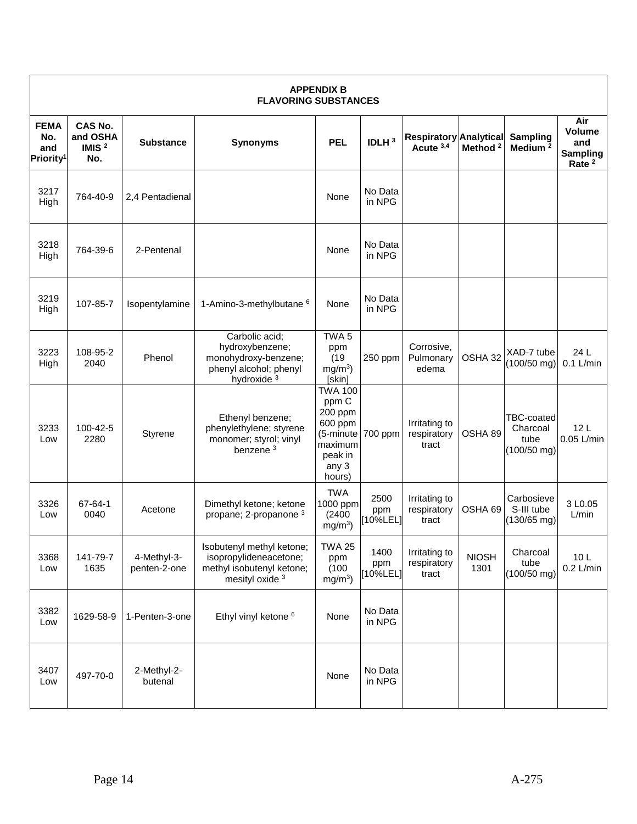| <b>APPENDIX B</b><br><b>FLAVORING SUBSTANCES</b>   |                                               |                             |                                                                                                               |                                                                                                     |                             |                                            |                      |                                                 |                                                                     |
|----------------------------------------------------|-----------------------------------------------|-----------------------------|---------------------------------------------------------------------------------------------------------------|-----------------------------------------------------------------------------------------------------|-----------------------------|--------------------------------------------|----------------------|-------------------------------------------------|---------------------------------------------------------------------|
| <b>FEMA</b><br>No.<br>and<br>Priority <sup>1</sup> | <b>CAS No.</b><br>and OSHA<br>IMIS $2$<br>No. | <b>Substance</b>            | <b>Synonyms</b>                                                                                               | <b>PEL</b>                                                                                          | IDLH <sup>3</sup>           | <b>Respiratory Analytical</b><br>Acute 3,4 | Method <sup>2</sup>  | Sampling<br>Medium <sup>2</sup>                 | Air<br><b>Volume</b><br>and<br><b>Sampling</b><br>Rate <sup>2</sup> |
| 3217<br>High                                       | 764-40-9                                      | 2,4 Pentadienal             |                                                                                                               | None                                                                                                | No Data<br>in NPG           |                                            |                      |                                                 |                                                                     |
| 3218<br>High                                       | 764-39-6                                      | 2-Pentenal                  |                                                                                                               | None                                                                                                | No Data<br>in NPG           |                                            |                      |                                                 |                                                                     |
| 3219<br>High                                       | 107-85-7                                      | Isopentylamine              | 1-Amino-3-methylbutane 6                                                                                      | None                                                                                                | No Data<br>in NPG           |                                            |                      |                                                 |                                                                     |
| 3223<br>High                                       | 108-95-2<br>2040                              | Phenol                      | Carbolic acid;<br>hydroxybenzene;<br>monohydroxy-benzene;<br>phenyl alcohol; phenyl<br>hydroxide <sup>3</sup> | TWA <sub>5</sub><br>ppm<br>(19)<br>$mg/m3$ )<br>[skin]                                              | 250 ppm                     | Corrosive,<br>Pulmonary<br>edema           | OSHA 32              | XAD-7 tube<br>$(100/50$ mg)                     | 24 L<br>$0.1$ L/min                                                 |
| 3233<br>Low                                        | 100-42-5<br>2280                              | Styrene                     | Ethenyl benzene;<br>phenylethylene; styrene<br>monomer; styrol; vinyl<br>benzene <sup>3</sup>                 | <b>TWA 100</b><br>ppm C<br>200 ppm<br>600 ppm<br>(5-minute<br>maximum<br>peak in<br>any 3<br>hours) | 700 ppm                     | Irritating to<br>respiratory<br>tract      | OSHA 89              | TBC-coated<br>Charcoal<br>tube<br>$(100/50$ mg) | 12L<br>$0.05$ L/min                                                 |
| 3326<br>Low                                        | 67-64-1<br>0040                               | Acetone                     | Dimethyl ketone; ketone<br>propane; 2-propanone 3                                                             | <b>TWA</b><br>1000 ppm<br>(2400)<br>$mg/m3$ )                                                       | 2500<br>ppm<br>[10%LEL]     | Irritating to<br>respiratory<br>tract      | OSHA 69              | Carbosieve<br>S-III tube<br>$(130/65$ mg)       | 3 LO.05<br>L/min                                                    |
| 3368<br>Low                                        | 141-79-7<br>1635                              | 4-Methyl-3-<br>penten-2-one | Isobutenyl methyl ketone;<br>isopropylideneacetone;<br>methyl isobutenyl ketone;<br>mesityl oxide 3           | <b>TWA 25</b><br>ppm<br>(100)<br>$mg/m3$ )                                                          | 1400<br>ppm<br>$[10\%$ LEL] | Irritating to<br>respiratory<br>tract      | <b>NIOSH</b><br>1301 | Charcoal<br>tube<br>$(100/50$ mg)               | 10 <sub>L</sub><br>$0.2$ L/min                                      |
| 3382<br>Low                                        | 1629-58-9                                     | 1-Penten-3-one              | Ethyl vinyl ketone <sup>6</sup>                                                                               | None                                                                                                | No Data<br>in NPG           |                                            |                      |                                                 |                                                                     |
| 3407<br>Low                                        | 497-70-0                                      | 2-Methyl-2-<br>butenal      |                                                                                                               | None                                                                                                | No Data<br>in NPG           |                                            |                      |                                                 |                                                                     |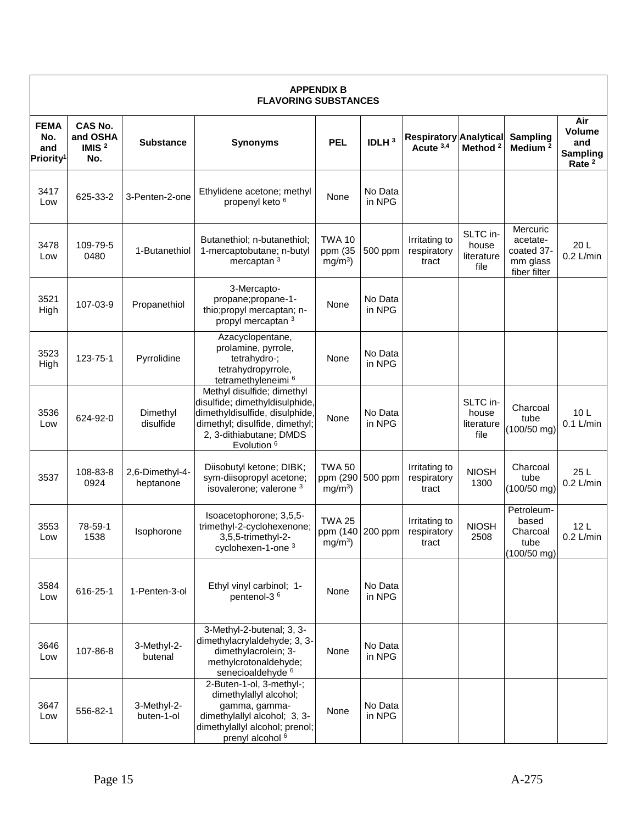| <b>APPENDIX B</b><br><b>FLAVORING SUBSTANCES</b>   |                                        |                              |                                                                                                                                                                                      |                                                        |                   |                                            |                                         |                                                                |                                                              |
|----------------------------------------------------|----------------------------------------|------------------------------|--------------------------------------------------------------------------------------------------------------------------------------------------------------------------------------|--------------------------------------------------------|-------------------|--------------------------------------------|-----------------------------------------|----------------------------------------------------------------|--------------------------------------------------------------|
| <b>FEMA</b><br>No.<br>and<br>Priority <sup>1</sup> | CAS No.<br>and OSHA<br>IMIS $2$<br>No. | <b>Substance</b>             | <b>Synonyms</b>                                                                                                                                                                      | <b>PEL</b>                                             | IDLH <sup>3</sup> | <b>Respiratory Analytical</b><br>Acute 3,4 | Method <sup>2</sup>                     | <b>Sampling</b><br>Medium <sup>2</sup>                         | Air<br>Volume<br>and<br><b>Sampling</b><br>Rate <sup>2</sup> |
| 3417<br>Low                                        | 625-33-2                               | 3-Penten-2-one               | Ethylidene acetone; methyl<br>propenyl keto <sup>6</sup>                                                                                                                             | None                                                   | No Data<br>in NPG |                                            |                                         |                                                                |                                                              |
| 3478<br>Low                                        | 109-79-5<br>0480                       | 1-Butanethiol                | Butanethiol; n-butanethiol;<br>1-mercaptobutane; n-butyl<br>mercaptan <sup>3</sup>                                                                                                   | <b>TWA 10</b><br>ppm (35<br>$mg/m3$ )                  | 500 ppm           | Irritating to<br>respiratory<br>tract      | SLTC in-<br>house<br>literature<br>file | Mercuric<br>acetate-<br>coated 37-<br>mm glass<br>fiber filter | 20L<br>$0.2$ L/min                                           |
| 3521<br>High                                       | 107-03-9                               | Propanethiol                 | 3-Mercapto-<br>propane;propane-1-<br>thio;propyl mercaptan; n-<br>propyl mercaptan <sup>3</sup>                                                                                      | None                                                   | No Data<br>in NPG |                                            |                                         |                                                                |                                                              |
| 3523<br>High                                       | 123-75-1                               | Pyrrolidine                  | Azacyclopentane,<br>prolamine, pyrrole,<br>tetrahydro-;<br>tetrahydropyrrole,<br>tetramethyleneimi <sup>6</sup>                                                                      | None                                                   | No Data<br>in NPG |                                            |                                         |                                                                |                                                              |
| 3536<br>Low                                        | 624-92-0                               | Dimethyl<br>disulfide        | Methyl disulfide; dimethyl<br>disulfide; dimethyldisulphide,<br>dimethyldisulfide, disulphide<br>dimethyl; disulfide, dimethyl;<br>2, 3-dithiabutane; DMDS<br>Evolution <sup>6</sup> | None                                                   | No Data<br>in NPG |                                            | SLTC in-<br>house<br>literature<br>file | Charcoal<br>tube<br>$(100/50$ mg)                              | 10L<br>$0.1$ L/min                                           |
| 3537                                               | 108-83-8<br>0924                       | 2,6-Dimethyl-4-<br>heptanone | Diisobutyl ketone; DIBK;<br>sym-diisopropyl acetone;<br>isovalerone; valerone 3                                                                                                      | <b>TWA 50</b><br>ppm (290 500 ppm<br>mg/m <sup>3</sup> |                   | Irritating to<br>respiratory<br>tract      | <b>NIOSH</b><br>1300                    | Charcoal<br>tube<br>$(100/50$ mg)                              | 25 L<br>$0.2$ L/min                                          |
| 3553<br>Low                                        | 78-59-1<br>1538                        | Isophorone                   | Isoacetophorone; 3,5,5-<br>trimethyl-2-cyclohexenone;<br>3,5,5-trimethyl-2-<br>cyclohexen-1-one <sup>3</sup>                                                                         | <b>TWA 25</b><br>ppm (140 200 ppm<br>$mg/m3$ )         |                   | Irritating to<br>respiratory<br>τracτ      | <b>NIOSH</b><br>2508                    | Petroleum-<br>based<br>Charcoal<br>tube<br>$(100/50$ mg)       | 12L<br>$0.2$ L/min                                           |
| 3584<br>Low                                        | 616-25-1                               | 1-Penten-3-ol                | Ethyl vinyl carbinol; 1-<br>pentenol-3 <sup>6</sup>                                                                                                                                  | None                                                   | No Data<br>in NPG |                                            |                                         |                                                                |                                                              |
| 3646<br>Low                                        | 107-86-8                               | 3-Methyl-2-<br>butenal       | 3-Methyl-2-butenal; 3, 3-<br>dimethylacrylaldehyde; 3, 3-<br>dimethylacrolein; 3-<br>methylcrotonaldehyde;<br>senecioaldehyde <sup>6</sup>                                           | None                                                   | No Data<br>in NPG |                                            |                                         |                                                                |                                                              |
| 3647<br>Low                                        | 556-82-1                               | 3-Methyl-2-<br>buten-1-ol    | 2-Buten-1-ol, 3-methyl-;<br>dimethylallyl alcohol;<br>gamma, gamma-<br>dimethylallyl alcohol; 3, 3-<br>dimethylallyl alcohol; prenol;<br>prenyl alcohol <sup>6</sup>                 | None                                                   | No Data<br>in NPG |                                            |                                         |                                                                |                                                              |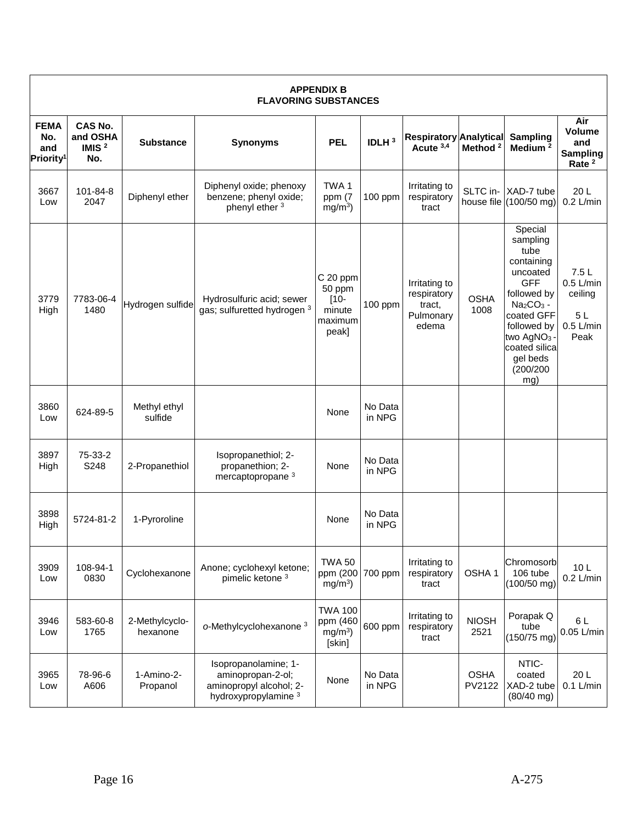| <b>APPENDIX B</b><br><b>FLAVORING SUBSTANCES</b>   |                                               |                            |                                                                                              |                                                             |                   |                                                              |                       |                                                                                                                                                                                                        |                                                                     |
|----------------------------------------------------|-----------------------------------------------|----------------------------|----------------------------------------------------------------------------------------------|-------------------------------------------------------------|-------------------|--------------------------------------------------------------|-----------------------|--------------------------------------------------------------------------------------------------------------------------------------------------------------------------------------------------------|---------------------------------------------------------------------|
| <b>FEMA</b><br>No.<br>and<br>Priority <sup>1</sup> | <b>CAS No.</b><br>and OSHA<br>IMIS $2$<br>No. | <b>Substance</b>           | <b>Synonyms</b>                                                                              | <b>PEL</b>                                                  | IDLH <sup>3</sup> | <b>Respiratory Analytical</b><br>Acute 3,4                   | Method <sup>2</sup>   | Sampling<br>Medium <sup>2</sup>                                                                                                                                                                        | Air<br><b>Volume</b><br>and<br><b>Sampling</b><br>Rate <sup>2</sup> |
| 3667<br>Low                                        | 101-84-8<br>2047                              | Diphenyl ether             | Diphenyl oxide; phenoxy<br>benzene; phenyl oxide;<br>phenyl ether 3                          | TWA1<br>ppm $(7)$<br>$mg/m3$ )                              | 100 ppm           | Irritating to<br>respiratory<br>tract                        |                       | SLTC in- XAD-7 tube<br>house file $(100/50$ mg)                                                                                                                                                        | 20L<br>$0.2$ L/min                                                  |
| 3779<br>High                                       | 7783-06-4<br>1480                             | Hydrogen sulfide           | Hydrosulfuric acid; sewer<br>gas; sulfuretted hydrogen 3                                     | C 20 ppm<br>50 ppm<br>$[10 -$<br>minute<br>maximum<br>peak] | 100 ppm           | Irritating to<br>respiratory<br>tract,<br>Pulmonary<br>edema | <b>OSHA</b><br>1008   | Special<br>sampling<br>tube<br>containing<br>uncoated<br><b>GFF</b><br>followed by<br>$Na2CO3 -$<br>coated GFF<br>followed by<br>two AgNO <sub>3</sub><br>coated silica<br>gel beds<br>(200/200<br>mg) | 7.5L<br>$0.5$ L/min<br>ceiling<br>5L<br>$0.5$ L/min<br>Peak         |
| 3860<br>Low                                        | 624-89-5                                      | Methyl ethyl<br>sulfide    |                                                                                              | None                                                        | No Data<br>in NPG |                                                              |                       |                                                                                                                                                                                                        |                                                                     |
| 3897<br>High                                       | 75-33-2<br>S248                               | 2-Propanethiol             | Isopropanethiol; 2-<br>propanethion; 2-<br>mercaptopropane <sup>3</sup>                      | None                                                        | No Data<br>in NPG |                                                              |                       |                                                                                                                                                                                                        |                                                                     |
| 3898<br>High                                       | 5724-81-2                                     | 1-Pyroroline               |                                                                                              | None                                                        | No Data<br>in NPG |                                                              |                       |                                                                                                                                                                                                        |                                                                     |
| 3909<br>Low                                        | 108-94-1<br>0830                              | Cyclohexanone              | Anone; cyclohexyl ketone;<br>pimelic ketone <sup>3</sup>                                     | <b>TWA 50</b><br>ppm (200<br>$mg/m3$ )                      | 700 ppm           | Irritating to<br>respiratory<br>tract                        | OSHA <sub>1</sub>     | Chromosorb<br>106 tube<br>$(100/50$ mg)                                                                                                                                                                | 10 <sub>L</sub><br>$0.2$ L/min                                      |
| 3946<br>Low                                        | 583-60-8<br>1765                              | 2-Methylcyclo-<br>hexanone | o-Methylcyclohexanone <sup>3</sup>                                                           | <b>TWA 100</b><br>ppm (460<br>$mg/m3$ )<br>[skin]           | 600 ppm           | Irritating to<br>respiratory<br>tract                        | <b>NIOSH</b><br>2521  | Porapak Q<br>tube<br>$(150/75$ mg)                                                                                                                                                                     | 6 L<br>0.05 L/min                                                   |
| 3965<br>Low                                        | 78-96-6<br>A606                               | 1-Amino-2-<br>Propanol     | Isopropanolamine; 1-<br>aminopropan-2-ol;<br>aminopropyl alcohol; 2-<br>hydroxypropylamine 3 | None                                                        | No Data<br>in NPG |                                                              | <b>OSHA</b><br>PV2122 | NTIC-<br>coated<br>XAD-2 tube<br>$(80/40$ mg)                                                                                                                                                          | 20L<br>$0.1$ L/min                                                  |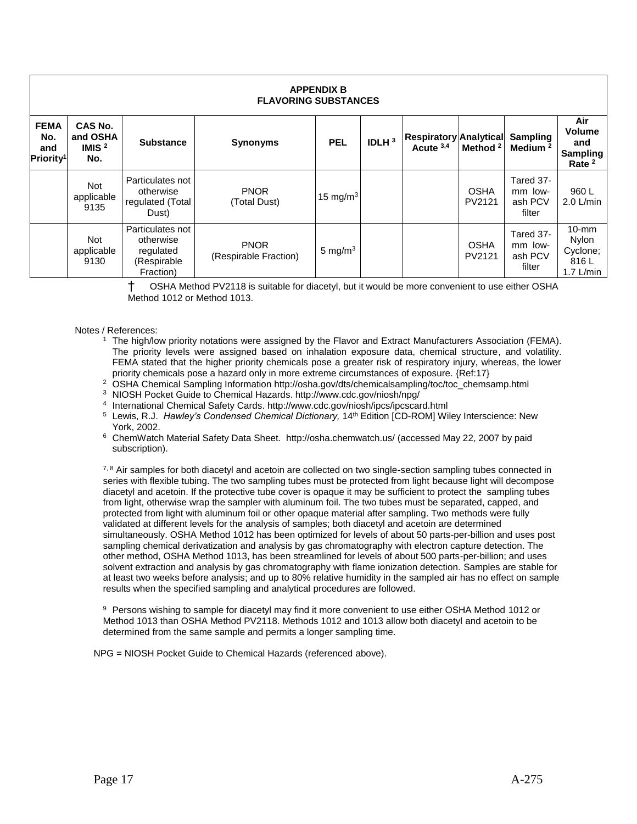| <b>APPENDIX B</b><br><b>FLAVORING SUBSTANCES</b>   |                                               |                                                                        |                                      |             |          |                                            |                       |                                           |                                                                     |  |
|----------------------------------------------------|-----------------------------------------------|------------------------------------------------------------------------|--------------------------------------|-------------|----------|--------------------------------------------|-----------------------|-------------------------------------------|---------------------------------------------------------------------|--|
| <b>FEMA</b><br>No.<br>and<br>Priority <sup>1</sup> | <b>CAS No.</b><br>and OSHA<br>IMIS $2$<br>No. | <b>Substance</b>                                                       | <b>Synonyms</b>                      | <b>PEL</b>  | IDLH $3$ | <b>Respiratory Analytical</b><br>Acute 3,4 | Method <sup>2</sup>   | Sampling<br>Medium <sup>2</sup>           | Air<br><b>Volume</b><br>and<br><b>Sampling</b><br>Rate <sup>2</sup> |  |
|                                                    | <b>Not</b><br>applicable<br>9135              | Particulates not<br>otherwise<br>regulated (Total<br>Dust)             | <b>PNOR</b><br>(Total Dust)          | 15 mg/m $3$ |          |                                            | <b>OSHA</b><br>PV2121 | Tared 37-<br>mm low-<br>ash PCV<br>filter | 960 L<br>$2.0$ L/min                                                |  |
|                                                    | Not<br>applicable<br>9130                     | Particulates not<br>otherwise<br>regulated<br>(Respirable<br>Fraction) | <b>PNOR</b><br>(Respirable Fraction) | 5 mg/m $3$  |          |                                            | <b>OSHA</b><br>PV2121 | Tared 37-<br>mm low-<br>ash PCV<br>filter | $10-mm$<br><b>Nylon</b><br>Cyclone;<br>816L<br>1.7 $L/min$          |  |

† OSHA Method PV2118 is suitable for diacetyl, but it would be more convenient to use either OSHA Method 1012 or Method 1013.

#### Notes / References:

- <sup>1</sup> The high/low priority notations were assigned by the Flavor and Extract Manufacturers Association (FEMA). The priority levels were assigned based on inhalation exposure data, chemical structure, and volatility. FEMA stated that the higher priority chemicals pose a greater risk of respiratory injury, whereas, the lower priority chemicals pose a hazard only in more extreme circumstances of exposure. {Ref:17}
- <sup>2</sup> OSHA Chemical Sampling Information http://osha.gov/dts/chemicalsampling/toc/toc\_chemsamp.html
- <sup>3</sup> NIOSH Pocket Guide to Chemical Hazards. http://www.cdc.gov/niosh/npg/
- 4 International Chemical Safety Cards. http://www.cdc.gov/niosh/ipcs/ipcscard.html
- <sup>5</sup> Lewis, R.J. *Hawley's Condensed Chemical Dictionary,* 14th Edition [CD-ROM] Wiley Interscience: New York, 2002.
- <sup>6</sup> ChemWatch Material Safety Data Sheet. http://osha.chemwatch.us/ (accessed May 22, 2007 by paid subscription).

7, 8 Air samples for both diacetyl and acetoin are collected on two single-section sampling tubes connected in series with flexible tubing. The two sampling tubes must be protected from light because light will decompose diacetyl and acetoin. If the protective tube cover is opaque it may be sufficient to protect the sampling tubes from light, otherwise wrap the sampler with aluminum foil. The two tubes must be separated, capped, and protected from light with aluminum foil or other opaque material after sampling. Two methods were fully validated at different levels for the analysis of samples; both diacetyl and acetoin are determined simultaneously. OSHA Method 1012 has been optimized for levels of about 50 parts-per-billion and uses post sampling chemical derivatization and analysis by gas chromatography with electron capture detection. The other method, OSHA Method 1013, has been streamlined for levels of about 500 parts-per-billion; and uses solvent extraction and analysis by gas chromatography with flame ionization detection. Samples are stable for at least two weeks before analysis; and up to 80% relative humidity in the sampled air has no effect on sample results when the specified sampling and analytical procedures are followed.

9 Persons wishing to sample for diacetyl may find it more convenient to use either OSHA Method 1012 or Method 1013 than OSHA Method PV2118. Methods 1012 and 1013 allow both diacetyl and acetoin to be determined from the same sample and permits a longer sampling time.

NPG = NIOSH Pocket Guide to Chemical Hazards (referenced above).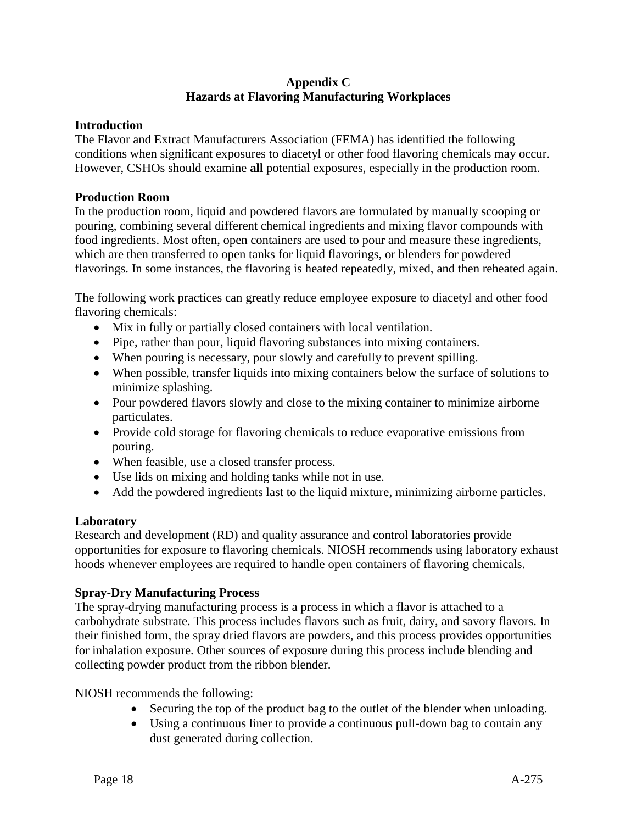### **Appendix C Hazards at Flavoring Manufacturing Workplaces**

### **Introduction**

The Flavor and Extract Manufacturers Association (FEMA) has identified the following conditions when significant exposures to diacetyl or other food flavoring chemicals may occur. However, CSHOs should examine **all** potential exposures, especially in the production room.

### **Production Room**

In the production room, liquid and powdered flavors are formulated by manually scooping or pouring, combining several different chemical ingredients and mixing flavor compounds with food ingredients. Most often, open containers are used to pour and measure these ingredients, which are then transferred to open tanks for liquid flavorings, or blenders for powdered flavorings. In some instances, the flavoring is heated repeatedly, mixed, and then reheated again.

The following work practices can greatly reduce employee exposure to diacetyl and other food flavoring chemicals:

- Mix in fully or partially closed containers with local ventilation.
- Pipe, rather than pour, liquid flavoring substances into mixing containers.
- When pouring is necessary, pour slowly and carefully to prevent spilling.
- When possible, transfer liquids into mixing containers below the surface of solutions to minimize splashing.
- Pour powdered flavors slowly and close to the mixing container to minimize airborne particulates.
- Provide cold storage for flavoring chemicals to reduce evaporative emissions from pouring.
- When feasible, use a closed transfer process.
- Use lids on mixing and holding tanks while not in use.
- Add the powdered ingredients last to the liquid mixture, minimizing airborne particles.

# **Laboratory**

Research and development (RD) and quality assurance and control laboratories provide opportunities for exposure to flavoring chemicals. NIOSH recommends using laboratory exhaust hoods whenever employees are required to handle open containers of flavoring chemicals.

# **Spray-Dry Manufacturing Process**

The spray-drying manufacturing process is a process in which a flavor is attached to a carbohydrate substrate. This process includes flavors such as fruit, dairy, and savory flavors. In their finished form, the spray dried flavors are powders, and this process provides opportunities for inhalation exposure. Other sources of exposure during this process include blending and collecting powder product from the ribbon blender.

NIOSH recommends the following:

- Securing the top of the product bag to the outlet of the blender when unloading.
- Using a continuous liner to provide a continuous pull-down bag to contain any dust generated during collection.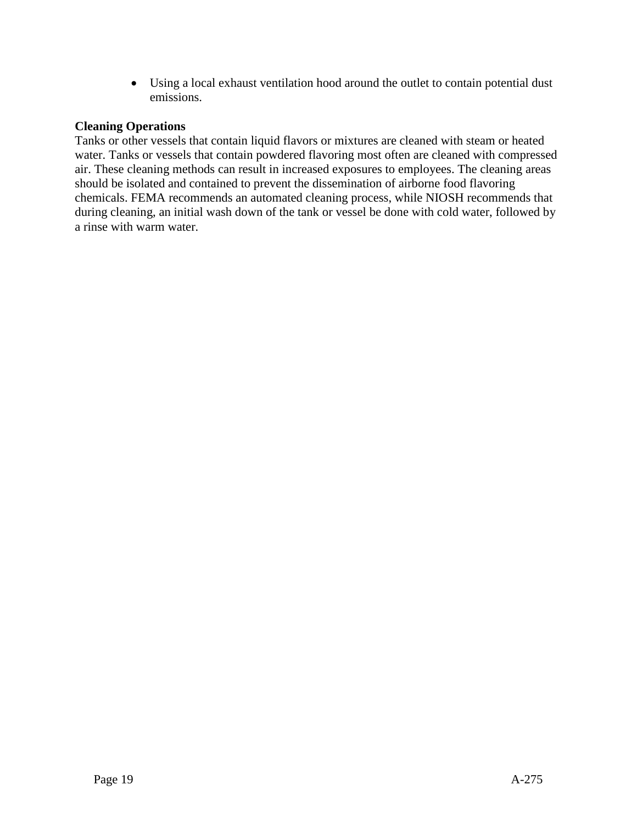Using a local exhaust ventilation hood around the outlet to contain potential dust emissions.

# **Cleaning Operations**

Tanks or other vessels that contain liquid flavors or mixtures are cleaned with steam or heated water. Tanks or vessels that contain powdered flavoring most often are cleaned with compressed air. These cleaning methods can result in increased exposures to employees. The cleaning areas should be isolated and contained to prevent the dissemination of airborne food flavoring chemicals. FEMA recommends an automated cleaning process, while NIOSH recommends that during cleaning, an initial wash down of the tank or vessel be done with cold water, followed by a rinse with warm water.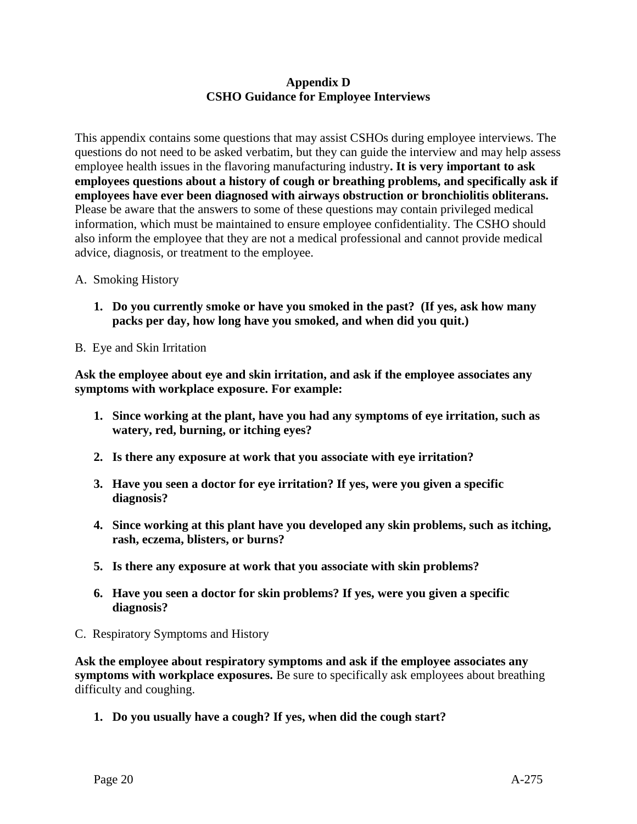### **Appendix D CSHO Guidance for Employee Interviews**

This appendix contains some questions that may assist CSHOs during employee interviews. The questions do not need to be asked verbatim, but they can guide the interview and may help assess employee health issues in the flavoring manufacturing industry**. It is very important to ask employees questions about a history of cough or breathing problems, and specifically ask if employees have ever been diagnosed with airways obstruction or bronchiolitis obliterans.**  Please be aware that the answers to some of these questions may contain privileged medical information, which must be maintained to ensure employee confidentiality. The CSHO should also inform the employee that they are not a medical professional and cannot provide medical advice, diagnosis, or treatment to the employee.

- A. Smoking History
	- **1. Do you currently smoke or have you smoked in the past? (If yes, ask how many packs per day, how long have you smoked, and when did you quit.)**
- B. Eye and Skin Irritation

**Ask the employee about eye and skin irritation, and ask if the employee associates any symptoms with workplace exposure. For example:**

- **1. Since working at the plant, have you had any symptoms of eye irritation, such as watery, red, burning, or itching eyes?**
- **2. Is there any exposure at work that you associate with eye irritation?**
- **3. Have you seen a doctor for eye irritation? If yes, were you given a specific diagnosis?**
- **4. Since working at this plant have you developed any skin problems, such as itching, rash, eczema, blisters, or burns?**
- **5. Is there any exposure at work that you associate with skin problems?**
- **6. Have you seen a doctor for skin problems? If yes, were you given a specific diagnosis?**
- C. Respiratory Symptoms and History

**Ask the employee about respiratory symptoms and ask if the employee associates any symptoms with workplace exposures.** Be sure to specifically ask employees about breathing difficulty and coughing.

**1. Do you usually have a cough? If yes, when did the cough start?**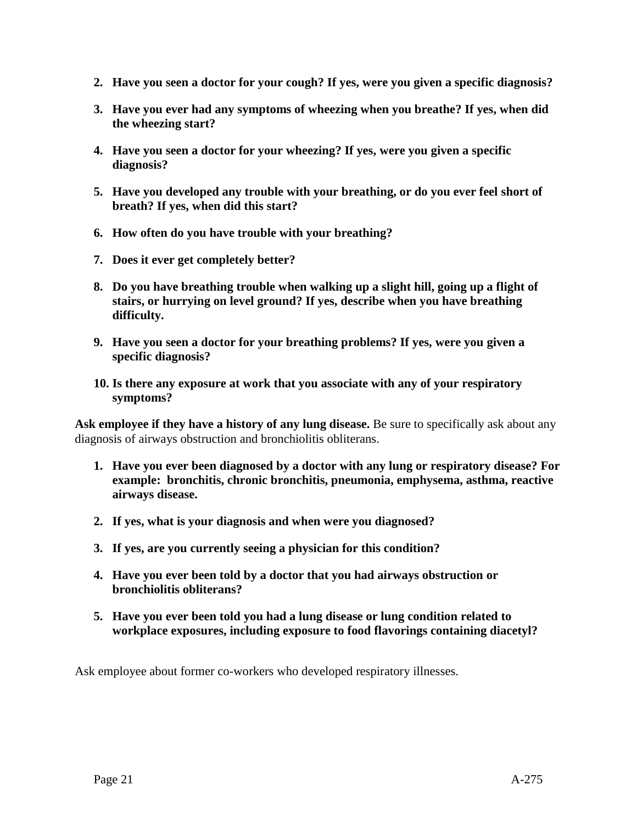- **2. Have you seen a doctor for your cough? If yes, were you given a specific diagnosis?**
- **3. Have you ever had any symptoms of wheezing when you breathe? If yes, when did the wheezing start?**
- **4. Have you seen a doctor for your wheezing? If yes, were you given a specific diagnosis?**
- **5. Have you developed any trouble with your breathing, or do you ever feel short of breath? If yes, when did this start?**
- **6. How often do you have trouble with your breathing?**
- **7. Does it ever get completely better?**
- **8. Do you have breathing trouble when walking up a slight hill, going up a flight of stairs, or hurrying on level ground? If yes, describe when you have breathing difficulty.**
- **9. Have you seen a doctor for your breathing problems? If yes, were you given a specific diagnosis?**
- **10. Is there any exposure at work that you associate with any of your respiratory symptoms?**

**Ask employee if they have a history of any lung disease.** Be sure to specifically ask about any diagnosis of airways obstruction and bronchiolitis obliterans.

- **1. Have you ever been diagnosed by a doctor with any lung or respiratory disease? For example: bronchitis, chronic bronchitis, pneumonia, emphysema, asthma, reactive airways disease.**
- **2. If yes, what is your diagnosis and when were you diagnosed?**
- **3. If yes, are you currently seeing a physician for this condition?**
- **4. Have you ever been told by a doctor that you had airways obstruction or bronchiolitis obliterans?**
- **5. Have you ever been told you had a lung disease or lung condition related to workplace exposures, including exposure to food flavorings containing diacetyl?**

Ask employee about former co-workers who developed respiratory illnesses.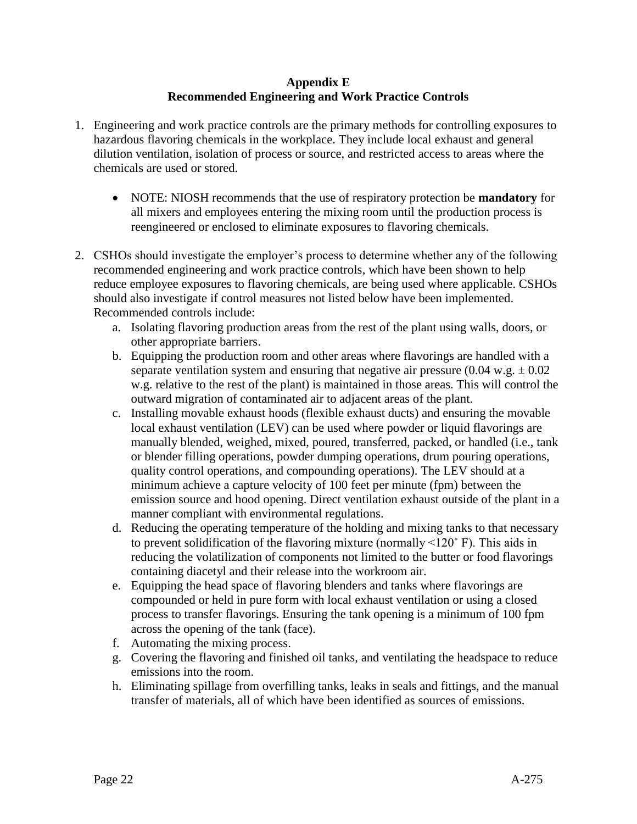### **Appendix E Recommended Engineering and Work Practice Controls**

- 1. Engineering and work practice controls are the primary methods for controlling exposures to hazardous flavoring chemicals in the workplace. They include local exhaust and general dilution ventilation, isolation of process or source, and restricted access to areas where the chemicals are used or stored.
	- NOTE: NIOSH recommends that the use of respiratory protection be **mandatory** for all mixers and employees entering the mixing room until the production process is reengineered or enclosed to eliminate exposures to flavoring chemicals.
- 2. CSHOs should investigate the employer's process to determine whether any of the following recommended engineering and work practice controls, which have been shown to help reduce employee exposures to flavoring chemicals, are being used where applicable. CSHOs should also investigate if control measures not listed below have been implemented. Recommended controls include:
	- a. Isolating flavoring production areas from the rest of the plant using walls, doors, or other appropriate barriers.
	- b. Equipping the production room and other areas where flavorings are handled with a separate ventilation system and ensuring that negative air pressure  $(0.04 \text{ w.g.} \pm 0.02$ w.g. relative to the rest of the plant) is maintained in those areas. This will control the outward migration of contaminated air to adjacent areas of the plant.
	- c. Installing movable exhaust hoods (flexible exhaust ducts) and ensuring the movable local exhaust ventilation (LEV) can be used where powder or liquid flavorings are manually blended, weighed, mixed, poured, transferred, packed, or handled (i.e., tank or blender filling operations, powder dumping operations, drum pouring operations, quality control operations, and compounding operations). The LEV should at a minimum achieve a capture velocity of 100 feet per minute (fpm) between the emission source and hood opening. Direct ventilation exhaust outside of the plant in a manner compliant with environmental regulations.
	- d. Reducing the operating temperature of the holding and mixing tanks to that necessary to prevent solidification of the flavoring mixture (normally  $\leq 120^{\circ}$  F). This aids in reducing the volatilization of components not limited to the butter or food flavorings containing diacetyl and their release into the workroom air.
	- e. Equipping the head space of flavoring blenders and tanks where flavorings are compounded or held in pure form with local exhaust ventilation or using a closed process to transfer flavorings. Ensuring the tank opening is a minimum of 100 fpm across the opening of the tank (face).
	- f. Automating the mixing process.
	- g. Covering the flavoring and finished oil tanks, and ventilating the headspace to reduce emissions into the room.
	- h. Eliminating spillage from overfilling tanks, leaks in seals and fittings, and the manual transfer of materials, all of which have been identified as sources of emissions.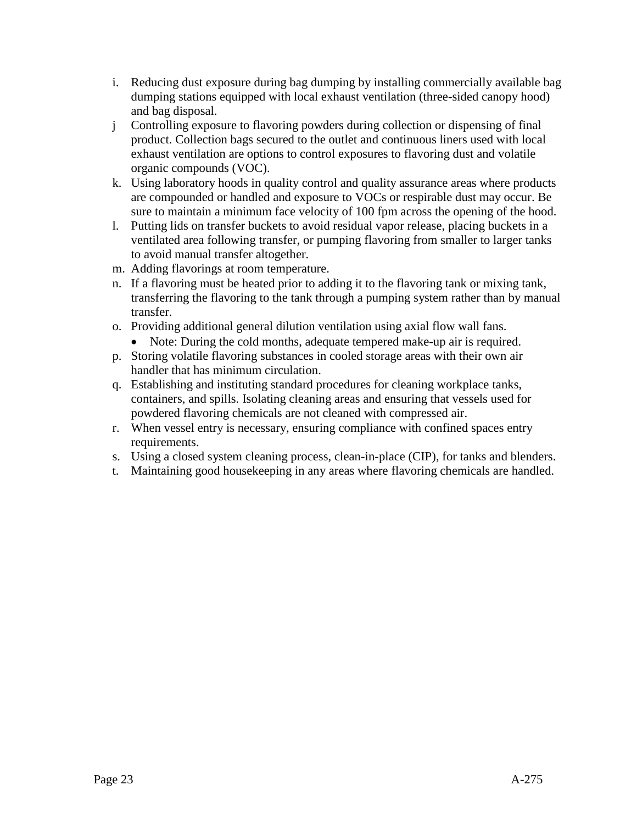- i. Reducing dust exposure during bag dumping by installing commercially available bag dumping stations equipped with local exhaust ventilation (three-sided canopy hood) and bag disposal.
- j Controlling exposure to flavoring powders during collection or dispensing of final product. Collection bags secured to the outlet and continuous liners used with local exhaust ventilation are options to control exposures to flavoring dust and volatile organic compounds (VOC).
- k. Using laboratory hoods in quality control and quality assurance areas where products are compounded or handled and exposure to VOCs or respirable dust may occur. Be sure to maintain a minimum face velocity of 100 fpm across the opening of the hood.
- l. Putting lids on transfer buckets to avoid residual vapor release, placing buckets in a ventilated area following transfer, or pumping flavoring from smaller to larger tanks to avoid manual transfer altogether.
- m. Adding flavorings at room temperature.
- n. If a flavoring must be heated prior to adding it to the flavoring tank or mixing tank, transferring the flavoring to the tank through a pumping system rather than by manual transfer.
- o. Providing additional general dilution ventilation using axial flow wall fans. Note: During the cold months, adequate tempered make-up air is required.
- p. Storing volatile flavoring substances in cooled storage areas with their own air handler that has minimum circulation.
- q. Establishing and instituting standard procedures for cleaning workplace tanks, containers, and spills. Isolating cleaning areas and ensuring that vessels used for powdered flavoring chemicals are not cleaned with compressed air.
- r. When vessel entry is necessary, ensuring compliance with confined spaces entry requirements.
- s. Using a closed system cleaning process, clean-in-place (CIP), for tanks and blenders.
- t. Maintaining good housekeeping in any areas where flavoring chemicals are handled.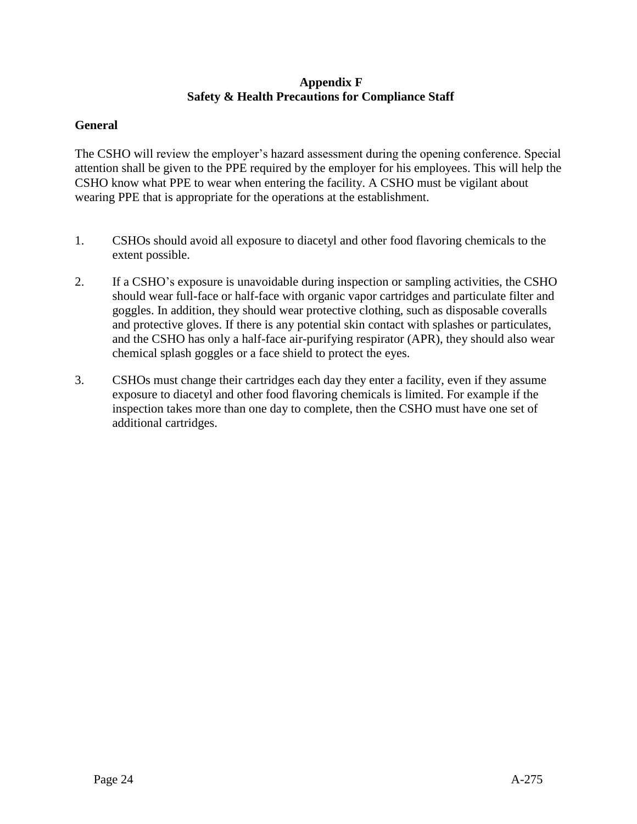# **Appendix F Safety & Health Precautions for Compliance Staff**

### **General**

The CSHO will review the employer's hazard assessment during the opening conference. Special attention shall be given to the PPE required by the employer for his employees. This will help the CSHO know what PPE to wear when entering the facility. A CSHO must be vigilant about wearing PPE that is appropriate for the operations at the establishment.

- 1. CSHOs should avoid all exposure to diacetyl and other food flavoring chemicals to the extent possible.
- 2. If a CSHO's exposure is unavoidable during inspection or sampling activities, the CSHO should wear full-face or half-face with organic vapor cartridges and particulate filter and goggles. In addition, they should wear protective clothing, such as disposable coveralls and protective gloves. If there is any potential skin contact with splashes or particulates, and the CSHO has only a half-face air-purifying respirator (APR), they should also wear chemical splash goggles or a face shield to protect the eyes.
- 3. CSHOs must change their cartridges each day they enter a facility, even if they assume exposure to diacetyl and other food flavoring chemicals is limited. For example if the inspection takes more than one day to complete, then the CSHO must have one set of additional cartridges.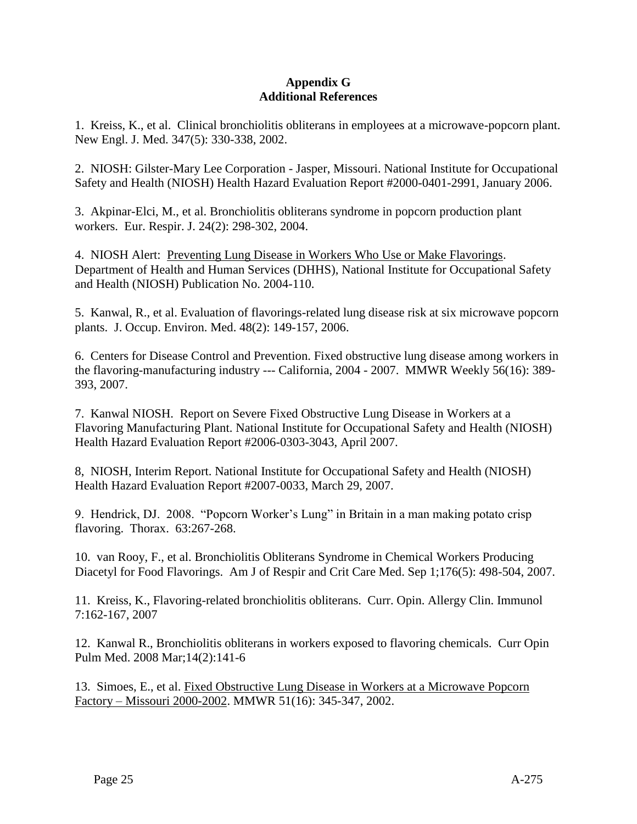### **Appendix G Additional References**

1. Kreiss, K., et al. Clinical bronchiolitis obliterans in employees at a microwave-popcorn plant. New Engl. J. Med. 347(5): 330-338, 2002.

2. NIOSH: Gilster-Mary Lee Corporation - Jasper, Missouri. National Institute for Occupational Safety and Health (NIOSH) Health Hazard Evaluation Report #2000-0401-2991, January 2006.

3. Akpinar-Elci, M., et al. Bronchiolitis obliterans syndrome in popcorn production plant workers. Eur. Respir. J. 24(2): 298-302, 2004.

4. NIOSH Alert: [Preventing Lung Disease in Workers Who Use or Make Flavorings.](http://www.osha.gov/pls/oshaweb/owaredirect.html?p_url=http://www.cdc.gov/niosh/docs/2004-110/) Department of Health and Human Services (DHHS), National Institute for Occupational Safety and Health (NIOSH) Publication No. 2004-110.

5. Kanwal, R., et al. Evaluation of flavorings-related lung disease risk at six microwave popcorn plants. J. Occup. Environ. Med. 48(2): 149-157, 2006.

6. Centers for Disease Control and Prevention. Fixed obstructive lung disease among workers in the flavoring-manufacturing industry --- California, 2004 - 2007. MMWR Weekly 56(16): 389- 393, 2007.

7. Kanwal NIOSH. Report on Severe Fixed Obstructive Lung Disease in Workers at a Flavoring Manufacturing Plant. National Institute for Occupational Safety and Health (NIOSH) Health Hazard Evaluation Report #2006-0303-3043, April 2007.

8, NIOSH, Interim Report. National Institute for Occupational Safety and Health (NIOSH) Health Hazard Evaluation Report #2007-0033, March 29, 2007.

9. Hendrick, DJ. 2008. "Popcorn Worker's Lung" in Britain in a man making potato crisp flavoring. Thorax. 63:267-268.

10. van Rooy, F., et al. Bronchiolitis Obliterans Syndrome in Chemical Workers Producing Diacetyl for Food Flavorings. Am J of Respir and Crit Care Med. Sep 1;176(5): 498-504, 2007.

11. Kreiss, K., Flavoring-related bronchiolitis obliterans. Curr. Opin. Allergy Clin. Immunol 7:162-167, 2007

12. Kanwal R., Bronchiolitis obliterans in workers exposed to flavoring chemicals. Curr Opin Pulm Med. 2008 Mar;14(2):141-6

13. Simoes, E., et al. [Fixed Obstructive Lung Disease in Workers at a Microwave Popcorn](http://www.osha.gov/pls/oshaweb/owaredirect.html?p_url=http://www.cdc.gov/mmwr/preview/mmwrhtml/mm5116a2.htm)  [Factory –](http://www.osha.gov/pls/oshaweb/owaredirect.html?p_url=http://www.cdc.gov/mmwr/preview/mmwrhtml/mm5116a2.htm) Missouri 2000-2002. MMWR 51(16): 345-347, 2002.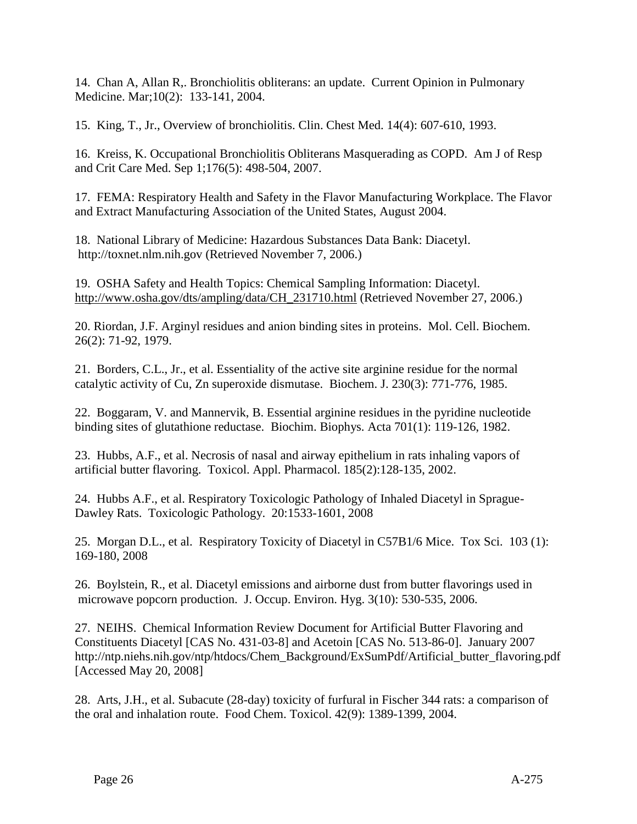14. Chan A, Allan R,. Bronchiolitis obliterans: an update. Current Opinion in Pulmonary Medicine. Mar;10(2): 133-141, 2004.

15. King, T., Jr., Overview of bronchiolitis. Clin. Chest Med. 14(4): 607-610, 1993.

16. Kreiss, K. Occupational Bronchiolitis Obliterans Masquerading as COPD. Am J of Resp and Crit Care Med. Sep 1;176(5): 498-504, 2007.

17. FEMA: Respiratory Health and Safety in the Flavor Manufacturing Workplace. The Flavor and Extract Manufacturing Association of the United States, August 2004.

18. National Library of Medicine: Hazardous Substances Data Bank: Diacetyl. http://toxnet.nlm.nih.gov (Retrieved November 7, 2006.)

19. OSHA Safety and Health Topics: Chemical Sampling Information: Diacetyl. [http://www.osha.gov/dts/ampling/data/CH\\_231710.html](http://www.osha.gov/dts/chemicalsampling/data/CH_231710.html) (Retrieved November 27, 2006.)

20. Riordan, J.F. Arginyl residues and anion binding sites in proteins. Mol. Cell. Biochem. 26(2): 71-92, 1979.

21. Borders, C.L., Jr., et al. Essentiality of the active site arginine residue for the normal catalytic activity of Cu, Zn superoxide dismutase. Biochem. J. 230(3): 771-776, 1985.

22. Boggaram, V. and Mannervik, B. Essential arginine residues in the pyridine nucleotide binding sites of glutathione reductase. Biochim. Biophys. Acta 701(1): 119-126, 1982.

23. Hubbs, A.F., et al. Necrosis of nasal and airway epithelium in rats inhaling vapors of artificial butter flavoring. Toxicol. Appl. Pharmacol. 185(2):128-135, 2002.

24. Hubbs A.F., et al. Respiratory Toxicologic Pathology of Inhaled Diacetyl in Sprague-Dawley Rats. Toxicologic Pathology. 20:1533-1601, 2008

25. Morgan D.L., et al. Respiratory Toxicity of Diacetyl in C57B1/6 Mice. Tox Sci. 103 (1): 169-180, 2008

26. Boylstein, R., et al. Diacetyl emissions and airborne dust from butter flavorings used in microwave popcorn production. J. Occup. Environ. Hyg. 3(10): 530-535, 2006.

27. NEIHS. Chemical Information Review Document for Artificial Butter Flavoring and Constituents Diacetyl [CAS No. 431-03-8] and Acetoin [CAS No. 513-86-0]. January 2007 http://ntp.niehs.nih.gov/ntp/htdocs/Chem\_Background/ExSumPdf/Artificial\_butter\_flavoring.pdf [Accessed May 20, 2008]

28. Arts, J.H., et al. Subacute (28-day) toxicity of furfural in Fischer 344 rats: a comparison of the oral and inhalation route. Food Chem. Toxicol. 42(9): 1389-1399, 2004.